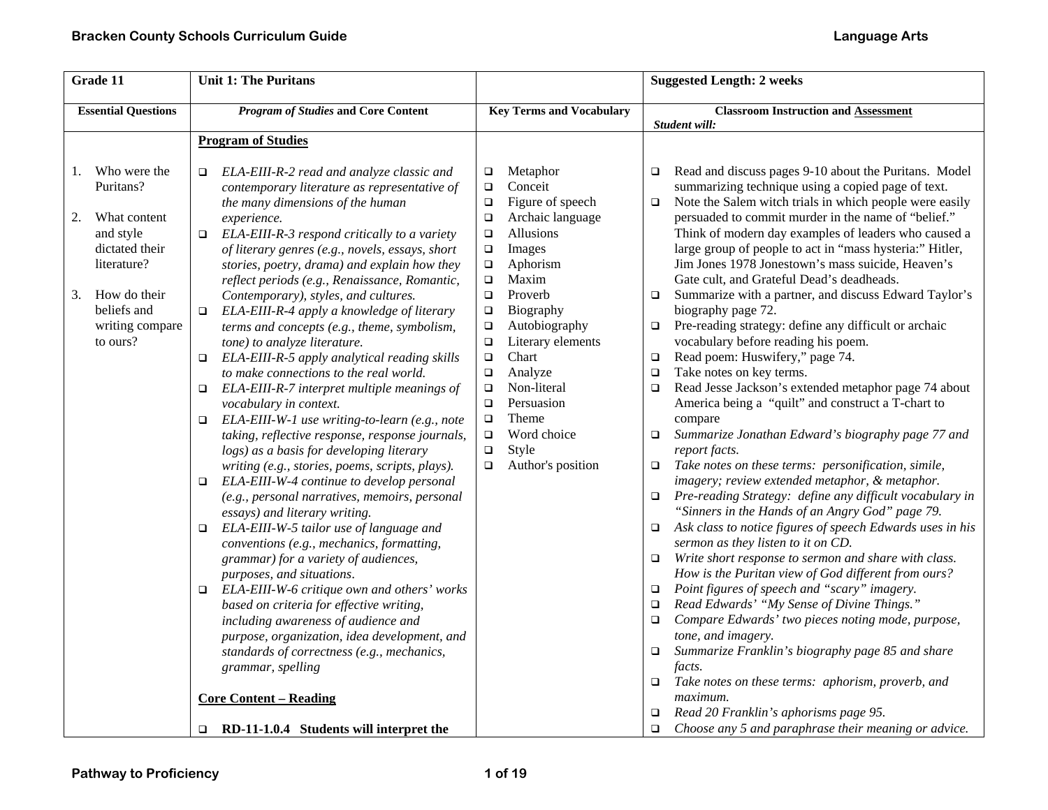| Grade 11                                                                                                                                                                | <b>Unit 1: The Puritans</b>                                                                                                                                                                                                                                                                                                                                                                                                                                                                                                                                                                                                                                                                                                                                                                                                                                                                                                                                                                                                                                                                                                                                                                                                                                                                                                                                                                                                                                                                                                                               |                                                                                                                                                                                                                                                                                                                                                                                                                                                                                      | <b>Suggested Length: 2 weeks</b>                                                                                                                                                                                                                                                                                                                                                                                                                                                                                                                                                                                                                                                                                                                                                                                                                                                                                                                                                                                                                                                                                                                                                                                                                                                                                                                                                                                                                                                                                                                                                                                                                                                                                                                                                                                                                                          |
|-------------------------------------------------------------------------------------------------------------------------------------------------------------------------|-----------------------------------------------------------------------------------------------------------------------------------------------------------------------------------------------------------------------------------------------------------------------------------------------------------------------------------------------------------------------------------------------------------------------------------------------------------------------------------------------------------------------------------------------------------------------------------------------------------------------------------------------------------------------------------------------------------------------------------------------------------------------------------------------------------------------------------------------------------------------------------------------------------------------------------------------------------------------------------------------------------------------------------------------------------------------------------------------------------------------------------------------------------------------------------------------------------------------------------------------------------------------------------------------------------------------------------------------------------------------------------------------------------------------------------------------------------------------------------------------------------------------------------------------------------|--------------------------------------------------------------------------------------------------------------------------------------------------------------------------------------------------------------------------------------------------------------------------------------------------------------------------------------------------------------------------------------------------------------------------------------------------------------------------------------|---------------------------------------------------------------------------------------------------------------------------------------------------------------------------------------------------------------------------------------------------------------------------------------------------------------------------------------------------------------------------------------------------------------------------------------------------------------------------------------------------------------------------------------------------------------------------------------------------------------------------------------------------------------------------------------------------------------------------------------------------------------------------------------------------------------------------------------------------------------------------------------------------------------------------------------------------------------------------------------------------------------------------------------------------------------------------------------------------------------------------------------------------------------------------------------------------------------------------------------------------------------------------------------------------------------------------------------------------------------------------------------------------------------------------------------------------------------------------------------------------------------------------------------------------------------------------------------------------------------------------------------------------------------------------------------------------------------------------------------------------------------------------------------------------------------------------------------------------------------------------|
| <b>Essential Questions</b>                                                                                                                                              | <b>Program of Studies and Core Content</b>                                                                                                                                                                                                                                                                                                                                                                                                                                                                                                                                                                                                                                                                                                                                                                                                                                                                                                                                                                                                                                                                                                                                                                                                                                                                                                                                                                                                                                                                                                                | <b>Key Terms and Vocabulary</b>                                                                                                                                                                                                                                                                                                                                                                                                                                                      | <b>Classroom Instruction and Assessment</b><br>Student will:                                                                                                                                                                                                                                                                                                                                                                                                                                                                                                                                                                                                                                                                                                                                                                                                                                                                                                                                                                                                                                                                                                                                                                                                                                                                                                                                                                                                                                                                                                                                                                                                                                                                                                                                                                                                              |
|                                                                                                                                                                         | <b>Program of Studies</b>                                                                                                                                                                                                                                                                                                                                                                                                                                                                                                                                                                                                                                                                                                                                                                                                                                                                                                                                                                                                                                                                                                                                                                                                                                                                                                                                                                                                                                                                                                                                 |                                                                                                                                                                                                                                                                                                                                                                                                                                                                                      |                                                                                                                                                                                                                                                                                                                                                                                                                                                                                                                                                                                                                                                                                                                                                                                                                                                                                                                                                                                                                                                                                                                                                                                                                                                                                                                                                                                                                                                                                                                                                                                                                                                                                                                                                                                                                                                                           |
| Who were the<br>1.<br>Puritans?<br>2.<br>What content<br>and style<br>dictated their<br>literature?<br>How do their<br>3.<br>beliefs and<br>writing compare<br>to ours? | ELA-EIII-R-2 read and analyze classic and<br>o.<br>contemporary literature as representative of<br>the many dimensions of the human<br>experience.<br>$\Box$ ELA-EIII-R-3 respond critically to a variety<br>of literary genres (e.g., novels, essays, short<br>stories, poetry, drama) and explain how they<br>reflect periods (e.g., Renaissance, Romantic,<br>Contemporary), styles, and cultures.<br>ELA-EIII-R-4 apply a knowledge of literary<br>$\Box$<br>terms and concepts (e.g., theme, symbolism,<br>tone) to analyze literature.<br>$\Box$ ELA-EIII-R-5 apply analytical reading skills<br>to make connections to the real world.<br>ELA-EIII-R-7 interpret multiple meanings of<br>o.<br>vocabulary in context.<br>ELA-EIII-W-1 use writing-to-learn (e.g., note<br>$\Box$<br>taking, reflective response, response journals,<br>logs) as a basis for developing literary<br>writing (e.g., stories, poems, scripts, plays).<br>ELA-EIII-W-4 continue to develop personal<br>$\Box$<br>(e.g., personal narratives, memoirs, personal<br>essays) and literary writing.<br>ELA-EIII-W-5 tailor use of language and<br>$\Box$<br>conventions (e.g., mechanics, formatting,<br>grammar) for a variety of audiences,<br>purposes, and situations.<br>ELA-EIII-W-6 critique own and others' works<br>$\Box$<br>based on criteria for effective writing,<br>including awareness of audience and<br>purpose, organization, idea development, and<br>standards of correctness (e.g., mechanics,<br>grammar, spelling<br><b>Core Content – Reading</b> | Metaphor<br>$\Box$<br>Conceit<br>$\Box$<br>Figure of speech<br>$\Box$<br>Archaic language<br>$\Box$<br>Allusions<br>$\Box$<br>Images<br>$\Box$<br>$\Box$<br>Aphorism<br>Maxim<br>$\Box$<br>$\Box$<br>Proverb<br>Biography<br>$\Box$<br>Autobiography<br>$\Box$<br>Literary elements<br>$\Box$<br>Chart<br>$\Box$<br>$\Box$<br>Analyze<br>Non-literal<br>$\Box$<br>Persuasion<br>$\Box$<br>Theme<br>$\Box$<br>$\Box$<br>Word choice<br>$\Box$<br>Style<br>Author's position<br>$\Box$ | Read and discuss pages 9-10 about the Puritans. Model<br>$\Box$<br>summarizing technique using a copied page of text.<br>Note the Salem witch trials in which people were easily<br>$\Box$<br>persuaded to commit murder in the name of "belief."<br>Think of modern day examples of leaders who caused a<br>large group of people to act in "mass hysteria:" Hitler,<br>Jim Jones 1978 Jonestown's mass suicide, Heaven's<br>Gate cult, and Grateful Dead's deadheads.<br>Summarize with a partner, and discuss Edward Taylor's<br>$\Box$<br>biography page 72.<br>Pre-reading strategy: define any difficult or archaic<br>$\Box$<br>vocabulary before reading his poem.<br>Read poem: Huswifery," page 74.<br>$\Box$<br>Take notes on key terms.<br>$\Box$<br>Read Jesse Jackson's extended metaphor page 74 about<br>$\Box$<br>America being a "quilt" and construct a T-chart to<br>compare<br>Summarize Jonathan Edward's biography page 77 and<br>$\Box$<br>report facts.<br>Take notes on these terms: personification, simile,<br>$\Box$<br>imagery; review extended metaphor, & metaphor.<br>$\Box$ Pre-reading Strategy: define any difficult vocabulary in<br>"Sinners in the Hands of an Angry God" page 79.<br>Ask class to notice figures of speech Edwards uses in his<br>$\Box$<br>sermon as they listen to it on CD.<br>Write short response to sermon and share with class.<br>$\Box$<br>How is the Puritan view of God different from ours?<br>Point figures of speech and "scary" imagery.<br>$\Box$<br>Read Edwards' "My Sense of Divine Things."<br>$\Box$<br>Compare Edwards' two pieces noting mode, purpose,<br>$\Box$<br>tone, and imagery.<br>Summarize Franklin's biography page 85 and share<br>$\Box$<br>facts.<br>$\Box$ Take notes on these terms: aphorism, proverb, and<br>maximum.<br>Read 20 Franklin's aphorisms page 95.<br>$\Box$ |
|                                                                                                                                                                         | $\Box$ RD-11-1.0.4 Students will interpret the                                                                                                                                                                                                                                                                                                                                                                                                                                                                                                                                                                                                                                                                                                                                                                                                                                                                                                                                                                                                                                                                                                                                                                                                                                                                                                                                                                                                                                                                                                            |                                                                                                                                                                                                                                                                                                                                                                                                                                                                                      | Choose any 5 and paraphrase their meaning or advice.<br>$\Box$                                                                                                                                                                                                                                                                                                                                                                                                                                                                                                                                                                                                                                                                                                                                                                                                                                                                                                                                                                                                                                                                                                                                                                                                                                                                                                                                                                                                                                                                                                                                                                                                                                                                                                                                                                                                            |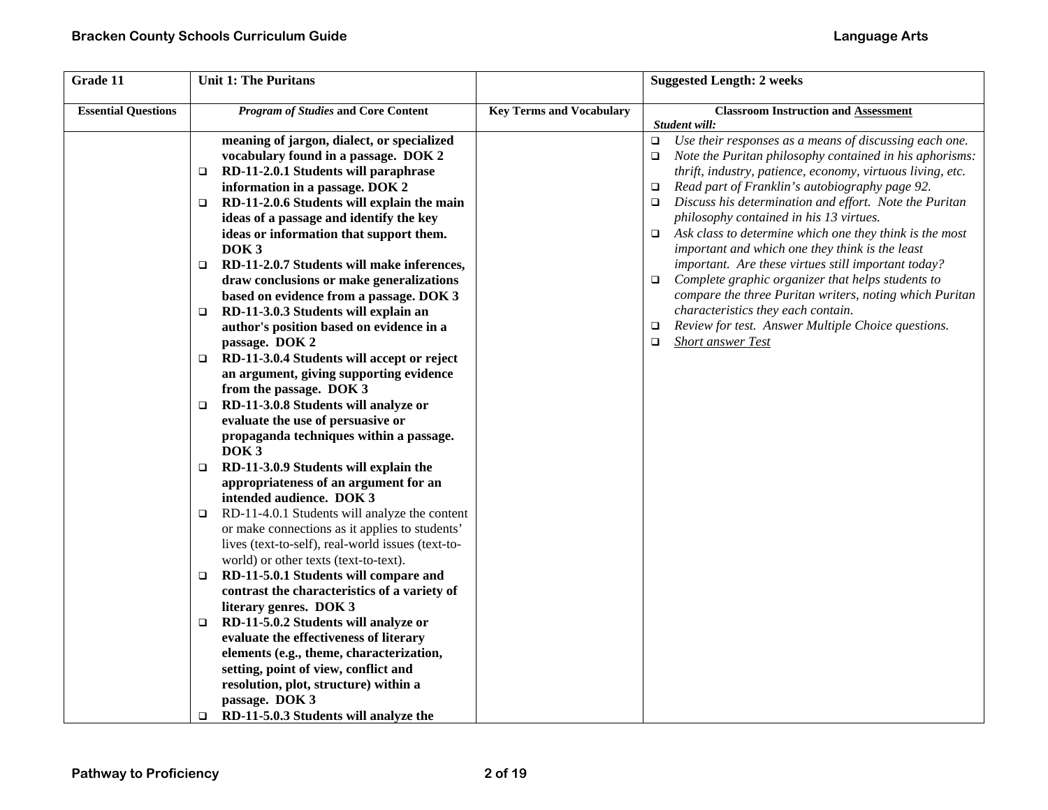| Grade 11                   | <b>Unit 1: The Puritans</b>                                                                                                                                                                                                                                                                                                                                                                                                                                                                                                                                                                                                                                                                                                                                                                                                                                                                                                                                                                                                                                                                                                                                                                                                                                                                                                                                                                                                                                                                                         |                                 | <b>Suggested Length: 2 weeks</b>                                                                                                                                                                                                                                                                                                                                                                                                                                                                                                                                                                                                                                                                                                                                                                                                    |
|----------------------------|---------------------------------------------------------------------------------------------------------------------------------------------------------------------------------------------------------------------------------------------------------------------------------------------------------------------------------------------------------------------------------------------------------------------------------------------------------------------------------------------------------------------------------------------------------------------------------------------------------------------------------------------------------------------------------------------------------------------------------------------------------------------------------------------------------------------------------------------------------------------------------------------------------------------------------------------------------------------------------------------------------------------------------------------------------------------------------------------------------------------------------------------------------------------------------------------------------------------------------------------------------------------------------------------------------------------------------------------------------------------------------------------------------------------------------------------------------------------------------------------------------------------|---------------------------------|-------------------------------------------------------------------------------------------------------------------------------------------------------------------------------------------------------------------------------------------------------------------------------------------------------------------------------------------------------------------------------------------------------------------------------------------------------------------------------------------------------------------------------------------------------------------------------------------------------------------------------------------------------------------------------------------------------------------------------------------------------------------------------------------------------------------------------------|
| <b>Essential Questions</b> | <b>Program of Studies and Core Content</b>                                                                                                                                                                                                                                                                                                                                                                                                                                                                                                                                                                                                                                                                                                                                                                                                                                                                                                                                                                                                                                                                                                                                                                                                                                                                                                                                                                                                                                                                          | <b>Key Terms and Vocabulary</b> | <b>Classroom Instruction and Assessment</b><br>Student will:                                                                                                                                                                                                                                                                                                                                                                                                                                                                                                                                                                                                                                                                                                                                                                        |
|                            | meaning of jargon, dialect, or specialized<br>vocabulary found in a passage. DOK 2<br>RD-11-2.0.1 Students will paraphrase<br>□<br>information in a passage. DOK 2<br>RD-11-2.0.6 Students will explain the main<br>$\Box$<br>ideas of a passage and identify the key<br>ideas or information that support them.<br>DOK <sub>3</sub><br>RD-11-2.0.7 Students will make inferences,<br>□<br>draw conclusions or make generalizations<br>based on evidence from a passage. DOK 3<br>RD-11-3.0.3 Students will explain an<br>$\Box$<br>author's position based on evidence in a<br>passage. DOK 2<br>RD-11-3.0.4 Students will accept or reject<br>$\Box$<br>an argument, giving supporting evidence<br>from the passage. DOK 3<br>RD-11-3.0.8 Students will analyze or<br>□<br>evaluate the use of persuasive or<br>propaganda techniques within a passage.<br>DOK <sub>3</sub><br>RD-11-3.0.9 Students will explain the<br>$\Box$<br>appropriateness of an argument for an<br>intended audience. DOK 3<br>RD-11-4.0.1 Students will analyze the content<br>□<br>or make connections as it applies to students'<br>lives (text-to-self), real-world issues (text-to-<br>world) or other texts (text-to-text).<br>RD-11-5.0.1 Students will compare and<br>□<br>contrast the characteristics of a variety of<br>literary genres. DOK 3<br>RD-11-5.0.2 Students will analyze or<br>$\Box$<br>evaluate the effectiveness of literary<br>elements (e.g., theme, characterization,<br>setting, point of view, conflict and |                                 | Use their responses as a means of discussing each one.<br>$\Box$<br>Note the Puritan philosophy contained in his aphorisms:<br>$\Box$<br>thrift, industry, patience, economy, virtuous living, etc.<br>Read part of Franklin's autobiography page 92.<br>$\Box$<br>Discuss his determination and effort. Note the Puritan<br>$\Box$<br>philosophy contained in his 13 virtues.<br>Ask class to determine which one they think is the most<br>$\Box$<br>important and which one they think is the least<br>important. Are these virtues still important today?<br>Complete graphic organizer that helps students to<br>$\Box$<br>compare the three Puritan writers, noting which Puritan<br>characteristics they each contain.<br>Review for test. Answer Multiple Choice questions.<br>$\Box$<br><b>Short answer Test</b><br>$\Box$ |
|                            | resolution, plot, structure) within a<br>passage. DOK 3<br>RD-11-5.0.3 Students will analyze the<br>$\Box$                                                                                                                                                                                                                                                                                                                                                                                                                                                                                                                                                                                                                                                                                                                                                                                                                                                                                                                                                                                                                                                                                                                                                                                                                                                                                                                                                                                                          |                                 |                                                                                                                                                                                                                                                                                                                                                                                                                                                                                                                                                                                                                                                                                                                                                                                                                                     |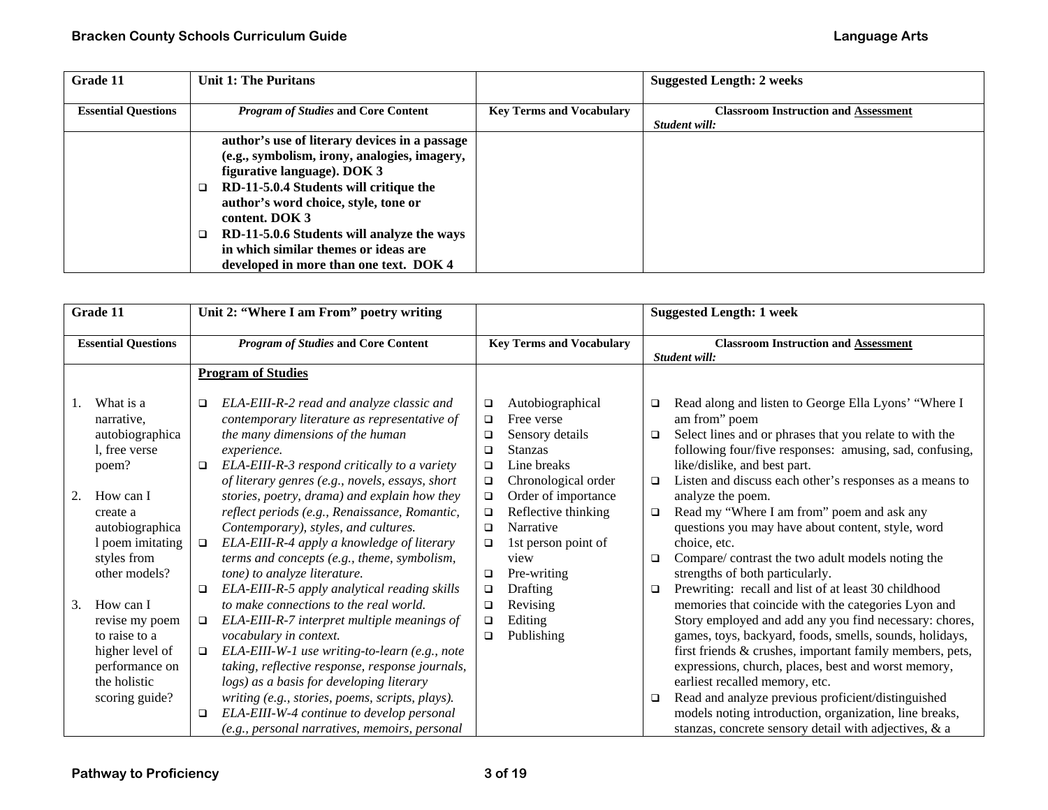| Grade 11                   | <b>Unit 1: The Puritans</b>                   |                                 | <b>Suggested Length: 2 weeks</b>            |
|----------------------------|-----------------------------------------------|---------------------------------|---------------------------------------------|
|                            |                                               |                                 |                                             |
| <b>Essential Questions</b> | <i>Program of Studies</i> and Core Content    | <b>Key Terms and Vocabulary</b> | <b>Classroom Instruction and Assessment</b> |
|                            |                                               |                                 | Student will:                               |
|                            | author's use of literary devices in a passage |                                 |                                             |
|                            | (e.g., symbolism, irony, analogies, imagery,  |                                 |                                             |
|                            | figurative language). DOK 3                   |                                 |                                             |
|                            | RD-11-5.0.4 Students will critique the        |                                 |                                             |
|                            | author's word choice, style, tone or          |                                 |                                             |
|                            | content. DOK 3                                |                                 |                                             |
|                            | RD-11-5.0.6 Students will analyze the ways    |                                 |                                             |
|                            | in which similar themes or ideas are          |                                 |                                             |
|                            | developed in more than one text. DOK 4        |                                 |                                             |

|    | Grade 11                                                                                                                                                             | Unit 2: "Where I am From" poetry writing                                                                                                                                                                                                                                                                                                                                                                                                                                                                                                       |                                                                                                  |                                                                                                                                                                                                                    |                                      | <b>Suggested Length: 1 week</b>                                                                                                                                                                                                                                                                                                                                                                                                                                                                                                                                |
|----|----------------------------------------------------------------------------------------------------------------------------------------------------------------------|------------------------------------------------------------------------------------------------------------------------------------------------------------------------------------------------------------------------------------------------------------------------------------------------------------------------------------------------------------------------------------------------------------------------------------------------------------------------------------------------------------------------------------------------|--------------------------------------------------------------------------------------------------|--------------------------------------------------------------------------------------------------------------------------------------------------------------------------------------------------------------------|--------------------------------------|----------------------------------------------------------------------------------------------------------------------------------------------------------------------------------------------------------------------------------------------------------------------------------------------------------------------------------------------------------------------------------------------------------------------------------------------------------------------------------------------------------------------------------------------------------------|
|    | <b>Essential Questions</b>                                                                                                                                           | <b>Program of Studies and Core Content</b>                                                                                                                                                                                                                                                                                                                                                                                                                                                                                                     |                                                                                                  | <b>Key Terms and Vocabulary</b>                                                                                                                                                                                    |                                      | <b>Classroom Instruction and Assessment</b><br>Student will:                                                                                                                                                                                                                                                                                                                                                                                                                                                                                                   |
|    |                                                                                                                                                                      | <b>Program of Studies</b>                                                                                                                                                                                                                                                                                                                                                                                                                                                                                                                      |                                                                                                  |                                                                                                                                                                                                                    |                                      |                                                                                                                                                                                                                                                                                                                                                                                                                                                                                                                                                                |
| 2. | What is a<br>narrative,<br>autobiographica<br>l, free verse<br>poem?<br>How can I<br>create a<br>autobiographica<br>1 poem imitating<br>styles from<br>other models? | ELA-EIII-R-2 read and analyze classic and<br>□<br>contemporary literature as representative of<br>the many dimensions of the human<br>experience.<br>ELA-EIII-R-3 respond critically to a variety<br>$\Box$<br>of literary genres (e.g., novels, essays, short<br>stories, poetry, drama) and explain how they<br>reflect periods (e.g., Renaissance, Romantic,<br>Contemporary), styles, and cultures.<br>ELA-EIII-R-4 apply a knowledge of literary<br>$\Box$<br>terms and concepts (e.g., theme, symbolism,<br>tone) to analyze literature. | □<br>$\Box$<br>□<br>$\Box$<br>$\Box$<br>$\Box$<br>$\Box$<br>$\Box$<br>$\Box$<br>$\Box$<br>$\Box$ | Autobiographical<br>Free verse<br>Sensory details<br><b>Stanzas</b><br>Line breaks<br>Chronological order<br>Order of importance<br>Reflective thinking<br>Narrative<br>1st person point of<br>view<br>Pre-writing | $\Box$<br>□<br>$\Box$<br>$\Box$<br>□ | Read along and listen to George Ella Lyons' "Where I<br>am from" poem<br>Select lines and or phrases that you relate to with the<br>following four/five responses: amusing, sad, confusing,<br>like/dislike, and best part.<br>Listen and discuss each other's responses as a means to<br>analyze the poem.<br>Read my "Where I am from" poem and ask any<br>questions you may have about content, style, word<br>choice, etc.<br>Compare/contrast the two adult models noting the<br>strengths of both particularly.                                          |
| 3. | How can I<br>revise my poem<br>to raise to a<br>higher level of<br>performance on<br>the holistic<br>scoring guide?                                                  | ELA-EIII-R-5 apply analytical reading skills<br>$\Box$<br>to make connections to the real world.<br>ELA-EIII-R-7 interpret multiple meanings of<br>$\Box$<br>vocabulary in context.<br>ELA-EIII-W-1 use writing-to-learn (e.g., note<br>$\Box$<br>taking, reflective response, response journals,<br>logs) as a basis for developing literary<br>writing (e.g., stories, poems, scripts, plays).<br>ELA-EIII-W-4 continue to develop personal<br>$\Box$<br>(e.g., personal narratives, memoirs, personal                                       | $\Box$<br>❏<br>□<br>□                                                                            | Drafting<br>Revising<br>Editing<br>Publishing                                                                                                                                                                      | □<br>□                               | Prewriting: recall and list of at least 30 childhood<br>memories that coincide with the categories Lyon and<br>Story employed and add any you find necessary: chores,<br>games, toys, backyard, foods, smells, sounds, holidays,<br>first friends & crushes, important family members, pets,<br>expressions, church, places, best and worst memory,<br>earliest recalled memory, etc.<br>Read and analyze previous proficient/distinguished<br>models noting introduction, organization, line breaks,<br>stanzas, concrete sensory detail with adjectives, & a |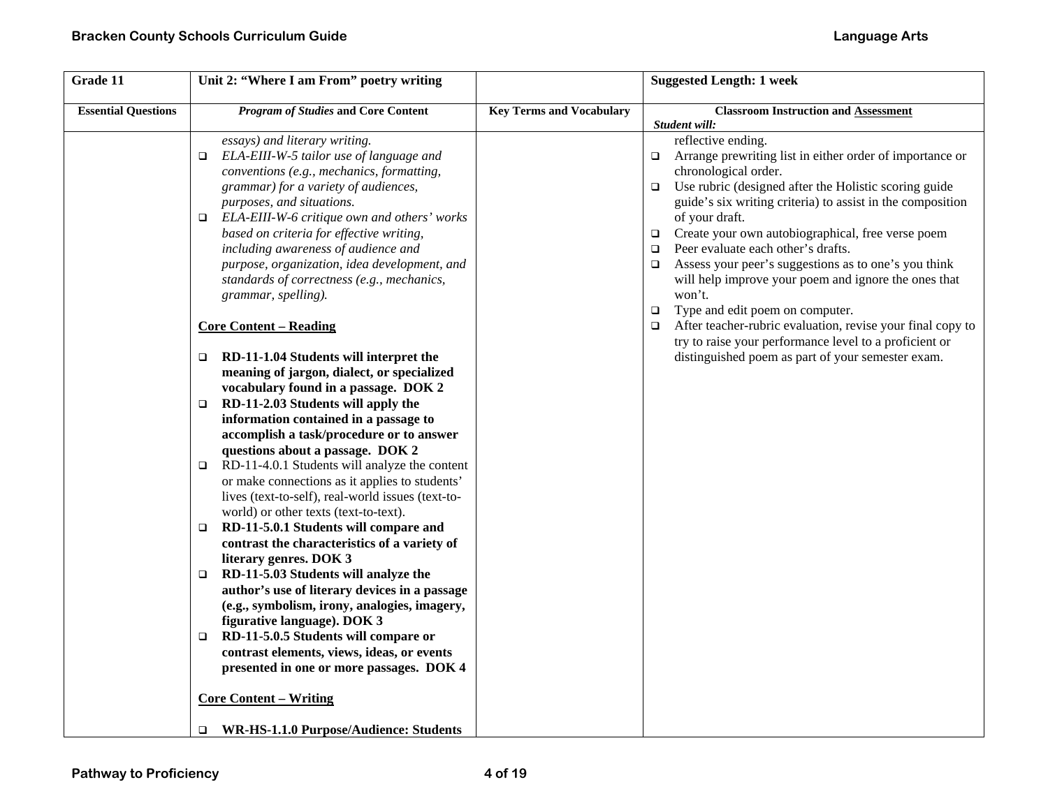| Grade 11                   | Unit 2: "Where I am From" poetry writing                                                                                                                                                                                                                                                                                                                                                                                                                                                                                                                                                                                                                                                                                                                                                                                                                                                                                                                                                                                                                                                                                                                                                                                                                                                                                                                                                                                                                                                                                                                                |                                 | <b>Suggested Length: 1 week</b>                                                                                                                                                                                                                                                                                                                                                                                                                                                                                                                                                                                                                                                                                                                    |
|----------------------------|-------------------------------------------------------------------------------------------------------------------------------------------------------------------------------------------------------------------------------------------------------------------------------------------------------------------------------------------------------------------------------------------------------------------------------------------------------------------------------------------------------------------------------------------------------------------------------------------------------------------------------------------------------------------------------------------------------------------------------------------------------------------------------------------------------------------------------------------------------------------------------------------------------------------------------------------------------------------------------------------------------------------------------------------------------------------------------------------------------------------------------------------------------------------------------------------------------------------------------------------------------------------------------------------------------------------------------------------------------------------------------------------------------------------------------------------------------------------------------------------------------------------------------------------------------------------------|---------------------------------|----------------------------------------------------------------------------------------------------------------------------------------------------------------------------------------------------------------------------------------------------------------------------------------------------------------------------------------------------------------------------------------------------------------------------------------------------------------------------------------------------------------------------------------------------------------------------------------------------------------------------------------------------------------------------------------------------------------------------------------------------|
| <b>Essential Questions</b> | <b>Program of Studies and Core Content</b>                                                                                                                                                                                                                                                                                                                                                                                                                                                                                                                                                                                                                                                                                                                                                                                                                                                                                                                                                                                                                                                                                                                                                                                                                                                                                                                                                                                                                                                                                                                              | <b>Key Terms and Vocabulary</b> | <b>Classroom Instruction and Assessment</b><br>Student will:                                                                                                                                                                                                                                                                                                                                                                                                                                                                                                                                                                                                                                                                                       |
|                            | essays) and literary writing.<br>ELA-EIII-W-5 tailor use of language and<br>$\Box$<br>conventions (e.g., mechanics, formatting,<br>grammar) for a variety of audiences,<br>purposes, and situations.<br>ELA-EIII-W-6 critique own and others' works<br>$\Box$<br>based on criteria for effective writing,<br>including awareness of audience and<br>purpose, organization, idea development, and<br>standards of correctness (e.g., mechanics,<br>grammar, spelling).<br><b>Core Content – Reading</b><br>$\Box$ RD-11-1.04 Students will interpret the<br>meaning of jargon, dialect, or specialized<br>vocabulary found in a passage. DOK 2<br>RD-11-2.03 Students will apply the<br>$\Box$<br>information contained in a passage to<br>accomplish a task/procedure or to answer<br>questions about a passage. DOK 2<br>RD-11-4.0.1 Students will analyze the content<br>$\Box$<br>or make connections as it applies to students'<br>lives (text-to-self), real-world issues (text-to-<br>world) or other texts (text-to-text).<br>RD-11-5.0.1 Students will compare and<br>$\Box$<br>contrast the characteristics of a variety of<br>literary genres. DOK 3<br>RD-11-5.03 Students will analyze the<br>$\Box$<br>author's use of literary devices in a passage<br>(e.g., symbolism, irony, analogies, imagery,<br>figurative language). DOK 3<br>RD-11-5.0.5 Students will compare or<br>$\Box$<br>contrast elements, views, ideas, or events<br>presented in one or more passages. DOK 4<br><b>Core Content – Writing</b><br>WR-HS-1.1.0 Purpose/Audience: Students |                                 | reflective ending.<br>Arrange prewriting list in either order of importance or<br>$\Box$<br>chronological order.<br>Use rubric (designed after the Holistic scoring guide<br>$\Box$<br>guide's six writing criteria) to assist in the composition<br>of your draft.<br>□ Create your own autobiographical, free verse poem<br>Peer evaluate each other's drafts.<br>$\Box$<br>Assess your peer's suggestions as to one's you think<br>$\Box$<br>will help improve your poem and ignore the ones that<br>won't.<br>Type and edit poem on computer.<br>$\Box$<br>After teacher-rubric evaluation, revise your final copy to<br>$\Box$<br>try to raise your performance level to a proficient or<br>distinguished poem as part of your semester exam. |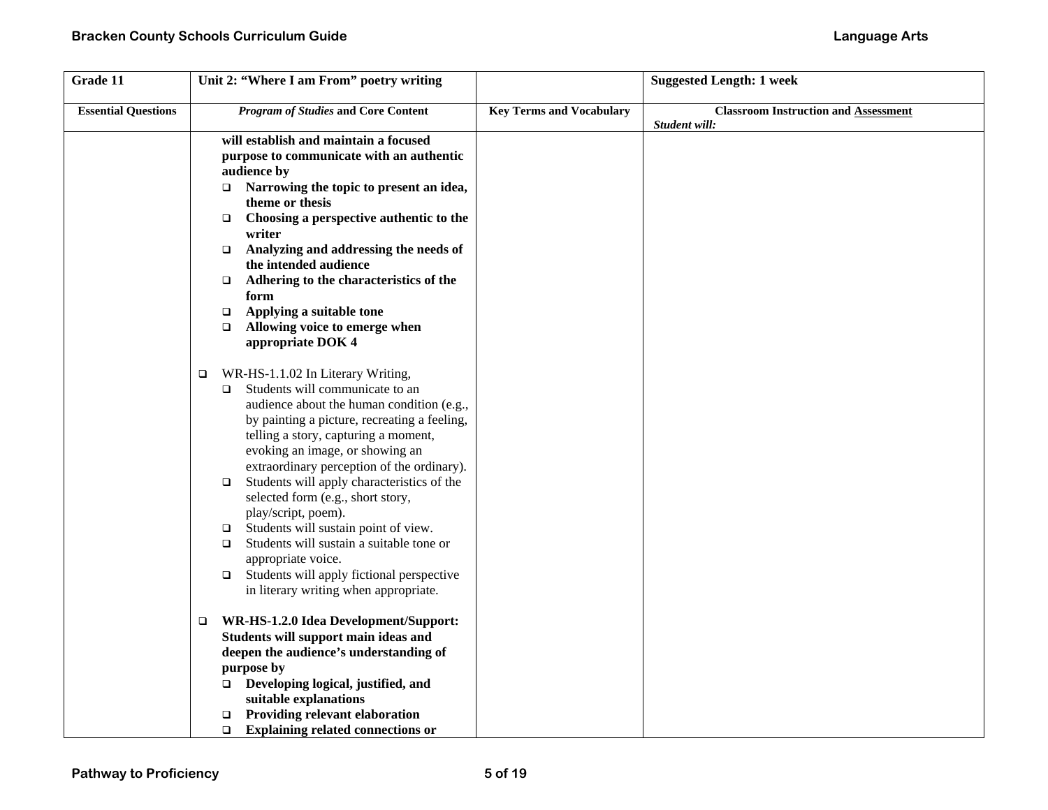| Grade 11                   | Unit 2: "Where I am From" poetry writing                                                                                                                                                                                                                                                                                                                                                                                                                                                                                                                                                                                                                         |                                 | <b>Suggested Length: 1 week</b>                              |
|----------------------------|------------------------------------------------------------------------------------------------------------------------------------------------------------------------------------------------------------------------------------------------------------------------------------------------------------------------------------------------------------------------------------------------------------------------------------------------------------------------------------------------------------------------------------------------------------------------------------------------------------------------------------------------------------------|---------------------------------|--------------------------------------------------------------|
| <b>Essential Questions</b> | <b>Program of Studies and Core Content</b>                                                                                                                                                                                                                                                                                                                                                                                                                                                                                                                                                                                                                       | <b>Key Terms and Vocabulary</b> | <b>Classroom Instruction and Assessment</b><br>Student will: |
|                            | will establish and maintain a focused<br>purpose to communicate with an authentic<br>audience by<br>Narrowing the topic to present an idea,<br>$\Box$<br>theme or thesis<br>Choosing a perspective authentic to the<br>$\Box$<br>writer<br>Analyzing and addressing the needs of<br>$\Box$<br>the intended audience<br>Adhering to the characteristics of the<br>$\Box$<br>form<br>Applying a suitable tone<br>$\Box$<br>Allowing voice to emerge when<br>$\Box$<br>appropriate DOK 4                                                                                                                                                                            |                                 |                                                              |
|                            | WR-HS-1.1.02 In Literary Writing,<br>$\Box$<br>Students will communicate to an<br>$\Box$<br>audience about the human condition (e.g.,<br>by painting a picture, recreating a feeling,<br>telling a story, capturing a moment,<br>evoking an image, or showing an<br>extraordinary perception of the ordinary).<br>Students will apply characteristics of the<br>$\Box$<br>selected form (e.g., short story,<br>play/script, poem).<br>Students will sustain point of view.<br>$\Box$<br>Students will sustain a suitable tone or<br>$\Box$<br>appropriate voice.<br>Students will apply fictional perspective<br>$\Box$<br>in literary writing when appropriate. |                                 |                                                              |
|                            | WR-HS-1.2.0 Idea Development/Support:<br>$\Box$<br>Students will support main ideas and<br>deepen the audience's understanding of<br>purpose by<br>$\Box$ Developing logical, justified, and<br>suitable explanations<br><b>Providing relevant elaboration</b><br>$\Box$<br><b>Explaining related connections or</b><br>$\Box$                                                                                                                                                                                                                                                                                                                                   |                                 |                                                              |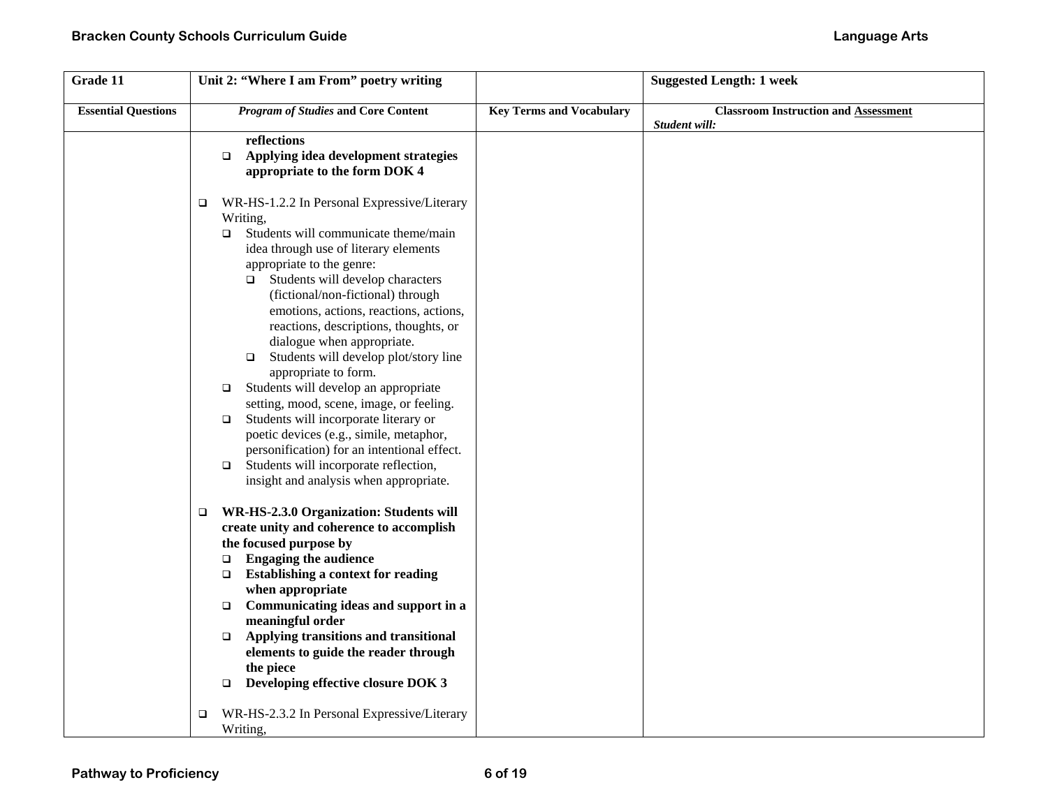| Grade 11                   | Unit 2: "Where I am From" poetry writing              |                                 | <b>Suggested Length: 1 week</b>                              |
|----------------------------|-------------------------------------------------------|---------------------------------|--------------------------------------------------------------|
| <b>Essential Questions</b> | <b>Program of Studies and Core Content</b>            | <b>Key Terms and Vocabulary</b> | <b>Classroom Instruction and Assessment</b><br>Student will: |
|                            | reflections                                           |                                 |                                                              |
|                            | Applying idea development strategies<br>$\Box$        |                                 |                                                              |
|                            | appropriate to the form DOK 4                         |                                 |                                                              |
|                            | WR-HS-1.2.2 In Personal Expressive/Literary<br>$\Box$ |                                 |                                                              |
|                            | Writing,                                              |                                 |                                                              |
|                            | Students will communicate theme/main<br>$\Box$        |                                 |                                                              |
|                            | idea through use of literary elements                 |                                 |                                                              |
|                            | appropriate to the genre:                             |                                 |                                                              |
|                            | Students will develop characters<br>$\Box$            |                                 |                                                              |
|                            | (fictional/non-fictional) through                     |                                 |                                                              |
|                            | emotions, actions, reactions, actions,                |                                 |                                                              |
|                            | reactions, descriptions, thoughts, or                 |                                 |                                                              |
|                            | dialogue when appropriate.                            |                                 |                                                              |
|                            | Students will develop plot/story line<br>$\Box$       |                                 |                                                              |
|                            | appropriate to form.                                  |                                 |                                                              |
|                            | Students will develop an appropriate<br>□             |                                 |                                                              |
|                            | setting, mood, scene, image, or feeling.              |                                 |                                                              |
|                            | Students will incorporate literary or<br>$\Box$       |                                 |                                                              |
|                            | poetic devices (e.g., simile, metaphor,               |                                 |                                                              |
|                            | personification) for an intentional effect.           |                                 |                                                              |
|                            | Students will incorporate reflection,<br>$\Box$       |                                 |                                                              |
|                            | insight and analysis when appropriate.                |                                 |                                                              |
|                            | WR-HS-2.3.0 Organization: Students will<br>$\Box$     |                                 |                                                              |
|                            | create unity and coherence to accomplish              |                                 |                                                              |
|                            | the focused purpose by                                |                                 |                                                              |
|                            | <b>Engaging the audience</b><br>$\Box$                |                                 |                                                              |
|                            | <b>Establishing a context for reading</b><br>$\Box$   |                                 |                                                              |
|                            | when appropriate                                      |                                 |                                                              |
|                            | Communicating ideas and support in a<br>$\Box$        |                                 |                                                              |
|                            | meaningful order                                      |                                 |                                                              |
|                            | Applying transitions and transitional<br>$\Box$       |                                 |                                                              |
|                            | elements to guide the reader through                  |                                 |                                                              |
|                            | the piece                                             |                                 |                                                              |
|                            | Developing effective closure DOK 3<br>$\Box$          |                                 |                                                              |
|                            | WR-HS-2.3.2 In Personal Expressive/Literary<br>▫      |                                 |                                                              |
|                            | Writing,                                              |                                 |                                                              |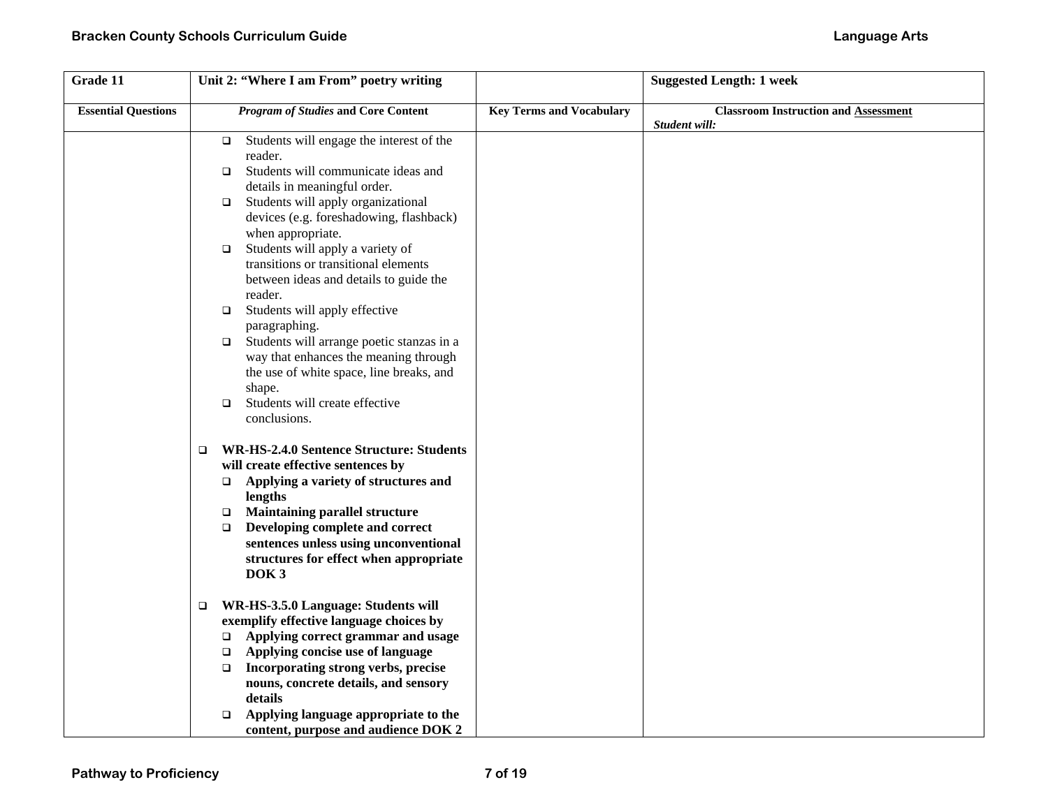| Grade 11                   | Unit 2: "Where I am From" poetry writing                   |                                 | <b>Suggested Length: 1 week</b>             |
|----------------------------|------------------------------------------------------------|---------------------------------|---------------------------------------------|
| <b>Essential Questions</b> | <b>Program of Studies and Core Content</b>                 | <b>Key Terms and Vocabulary</b> | <b>Classroom Instruction and Assessment</b> |
|                            |                                                            |                                 | Student will:                               |
|                            | Students will engage the interest of the<br>$\Box$         |                                 |                                             |
|                            | reader.                                                    |                                 |                                             |
|                            | Students will communicate ideas and<br>$\Box$              |                                 |                                             |
|                            | details in meaningful order.                               |                                 |                                             |
|                            | Students will apply organizational<br>$\Box$               |                                 |                                             |
|                            | devices (e.g. foreshadowing, flashback)                    |                                 |                                             |
|                            | when appropriate.                                          |                                 |                                             |
|                            | Students will apply a variety of<br>$\Box$                 |                                 |                                             |
|                            | transitions or transitional elements                       |                                 |                                             |
|                            | between ideas and details to guide the                     |                                 |                                             |
|                            | reader.                                                    |                                 |                                             |
|                            | Students will apply effective<br>$\Box$                    |                                 |                                             |
|                            | paragraphing.<br>Students will arrange poetic stanzas in a |                                 |                                             |
|                            | $\Box$<br>way that enhances the meaning through            |                                 |                                             |
|                            | the use of white space, line breaks, and                   |                                 |                                             |
|                            | shape.                                                     |                                 |                                             |
|                            | Students will create effective<br>$\Box$                   |                                 |                                             |
|                            | conclusions.                                               |                                 |                                             |
|                            |                                                            |                                 |                                             |
|                            | <b>WR-HS-2.4.0 Sentence Structure: Students</b><br>$\Box$  |                                 |                                             |
|                            | will create effective sentences by                         |                                 |                                             |
|                            | Applying a variety of structures and<br>$\Box$             |                                 |                                             |
|                            | lengths                                                    |                                 |                                             |
|                            | <b>Maintaining parallel structure</b><br>$\Box$            |                                 |                                             |
|                            | Developing complete and correct<br>$\Box$                  |                                 |                                             |
|                            | sentences unless using unconventional                      |                                 |                                             |
|                            | structures for effect when appropriate<br>DOK <sub>3</sub> |                                 |                                             |
|                            |                                                            |                                 |                                             |
|                            | WR-HS-3.5.0 Language: Students will<br>$\Box$              |                                 |                                             |
|                            | exemplify effective language choices by                    |                                 |                                             |
|                            | Applying correct grammar and usage<br>$\Box$               |                                 |                                             |
|                            | Applying concise use of language<br>$\Box$                 |                                 |                                             |
|                            | Incorporating strong verbs, precise<br>$\Box$              |                                 |                                             |
|                            | nouns, concrete details, and sensory                       |                                 |                                             |
|                            | details                                                    |                                 |                                             |
|                            | Applying language appropriate to the<br>$\Box$             |                                 |                                             |
|                            | content, purpose and audience DOK 2                        |                                 |                                             |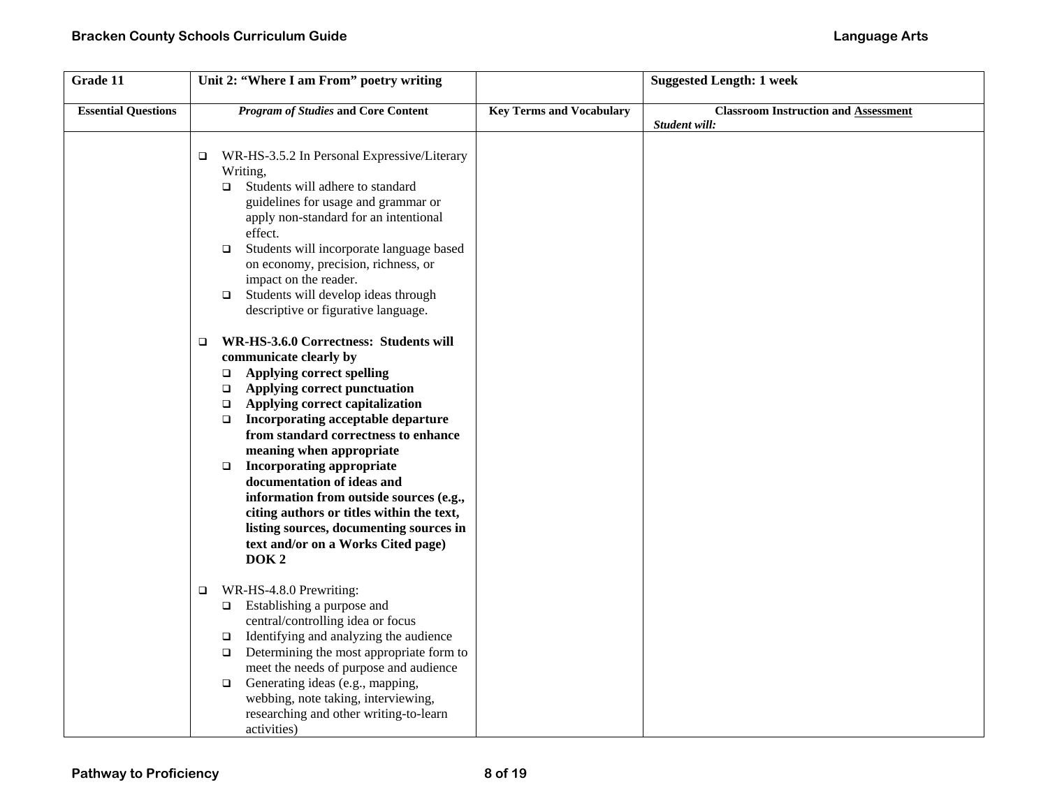| Grade 11                   | Unit 2: "Where I am From" poetry writing                                                                                                                                                                                                                                                                                                                                                                                                                                                                                                                                                                     |                                 | <b>Suggested Length: 1 week</b>                              |
|----------------------------|--------------------------------------------------------------------------------------------------------------------------------------------------------------------------------------------------------------------------------------------------------------------------------------------------------------------------------------------------------------------------------------------------------------------------------------------------------------------------------------------------------------------------------------------------------------------------------------------------------------|---------------------------------|--------------------------------------------------------------|
| <b>Essential Questions</b> | <b>Program of Studies and Core Content</b>                                                                                                                                                                                                                                                                                                                                                                                                                                                                                                                                                                   | <b>Key Terms and Vocabulary</b> | <b>Classroom Instruction and Assessment</b><br>Student will: |
|                            | WR-HS-3.5.2 In Personal Expressive/Literary<br>$\Box$<br>Writing,<br>Students will adhere to standard<br>$\Box$<br>guidelines for usage and grammar or<br>apply non-standard for an intentional<br>effect.<br>Students will incorporate language based<br>$\Box$<br>on economy, precision, richness, or<br>impact on the reader.<br>Students will develop ideas through<br>$\Box$<br>descriptive or figurative language.                                                                                                                                                                                     |                                 |                                                              |
|                            | WR-HS-3.6.0 Correctness: Students will<br>$\Box$<br>communicate clearly by<br><b>Applying correct spelling</b><br>$\Box$<br>Applying correct punctuation<br>$\Box$<br>Applying correct capitalization<br>$\Box$<br>Incorporating acceptable departure<br>$\Box$<br>from standard correctness to enhance<br>meaning when appropriate<br><b>Incorporating appropriate</b><br>$\Box$<br>documentation of ideas and<br>information from outside sources (e.g.,<br>citing authors or titles within the text,<br>listing sources, documenting sources in<br>text and/or on a Works Cited page)<br>DOK <sub>2</sub> |                                 |                                                              |
|                            | WR-HS-4.8.0 Prewriting:<br>$\Box$<br>Establishing a purpose and<br>$\Box$<br>central/controlling idea or focus<br>Identifying and analyzing the audience<br>$\Box$<br>Determining the most appropriate form to<br>$\Box$<br>meet the needs of purpose and audience<br>Generating ideas (e.g., mapping,<br>$\Box$<br>webbing, note taking, interviewing,<br>researching and other writing-to-learn<br>activities)                                                                                                                                                                                             |                                 |                                                              |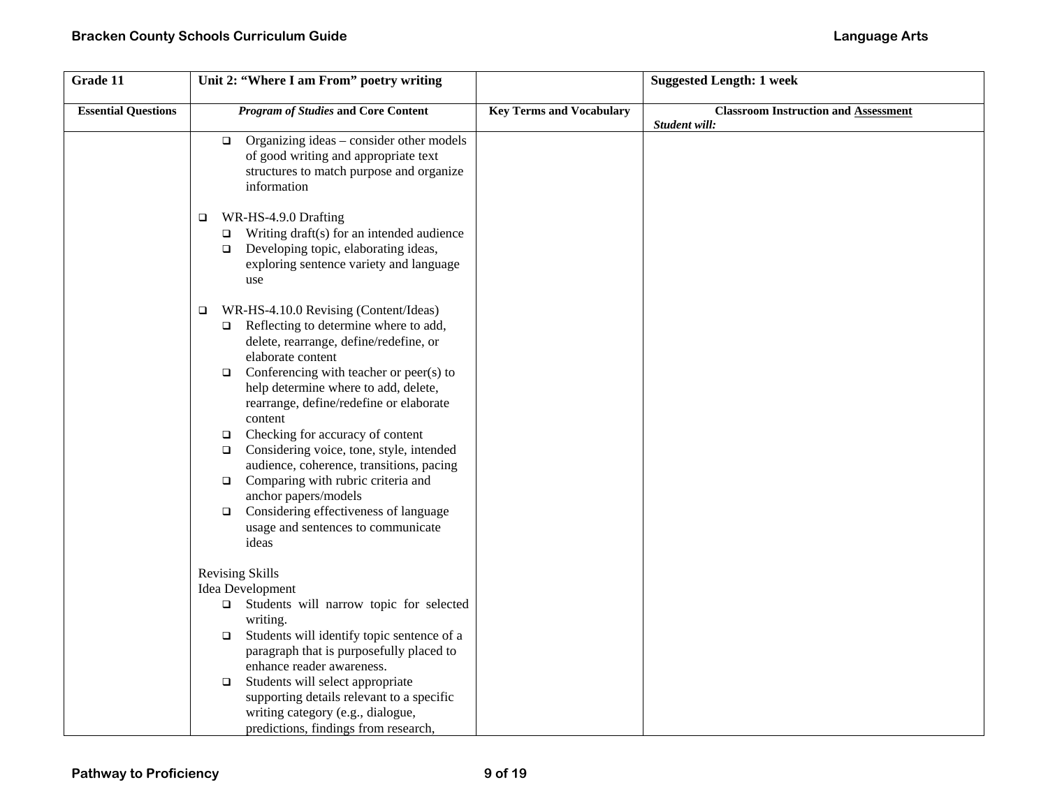| Grade 11                   | Unit 2: "Where I am From" poetry writing                                                                                                                                                                                                                                                                                                                                                                                                                                                                                                                                                                                                       |                                 | <b>Suggested Length: 1 week</b>                              |
|----------------------------|------------------------------------------------------------------------------------------------------------------------------------------------------------------------------------------------------------------------------------------------------------------------------------------------------------------------------------------------------------------------------------------------------------------------------------------------------------------------------------------------------------------------------------------------------------------------------------------------------------------------------------------------|---------------------------------|--------------------------------------------------------------|
| <b>Essential Questions</b> | <b>Program of Studies and Core Content</b>                                                                                                                                                                                                                                                                                                                                                                                                                                                                                                                                                                                                     | <b>Key Terms and Vocabulary</b> | <b>Classroom Instruction and Assessment</b><br>Student will: |
|                            | $\Box$ Organizing ideas – consider other models<br>of good writing and appropriate text<br>structures to match purpose and organize<br>information                                                                                                                                                                                                                                                                                                                                                                                                                                                                                             |                                 |                                                              |
|                            | WR-HS-4.9.0 Drafting<br>$\Box$<br>Writing draft(s) for an intended audience<br>$\Box$<br>Developing topic, elaborating ideas,<br>$\Box$<br>exploring sentence variety and language<br>use                                                                                                                                                                                                                                                                                                                                                                                                                                                      |                                 |                                                              |
|                            | WR-HS-4.10.0 Revising (Content/Ideas)<br>$\Box$<br>Reflecting to determine where to add,<br>$\Box$<br>delete, rearrange, define/redefine, or<br>elaborate content<br>Conferencing with teacher or peer(s) to<br>$\Box$<br>help determine where to add, delete,<br>rearrange, define/redefine or elaborate<br>content<br>Checking for accuracy of content<br>$\Box$<br>Considering voice, tone, style, intended<br>$\Box$<br>audience, coherence, transitions, pacing<br>Comparing with rubric criteria and<br>$\Box$<br>anchor papers/models<br>Considering effectiveness of language<br>$\Box$<br>usage and sentences to communicate<br>ideas |                                 |                                                              |
|                            | <b>Revising Skills</b><br>Idea Development<br>Students will narrow topic for selected<br>writing.<br>Students will identify topic sentence of a<br>$\Box$<br>paragraph that is purposefully placed to<br>enhance reader awareness.<br>Students will select appropriate<br>$\Box$<br>supporting details relevant to a specific<br>writing category (e.g., dialogue,<br>predictions, findings from research,                                                                                                                                                                                                                                     |                                 |                                                              |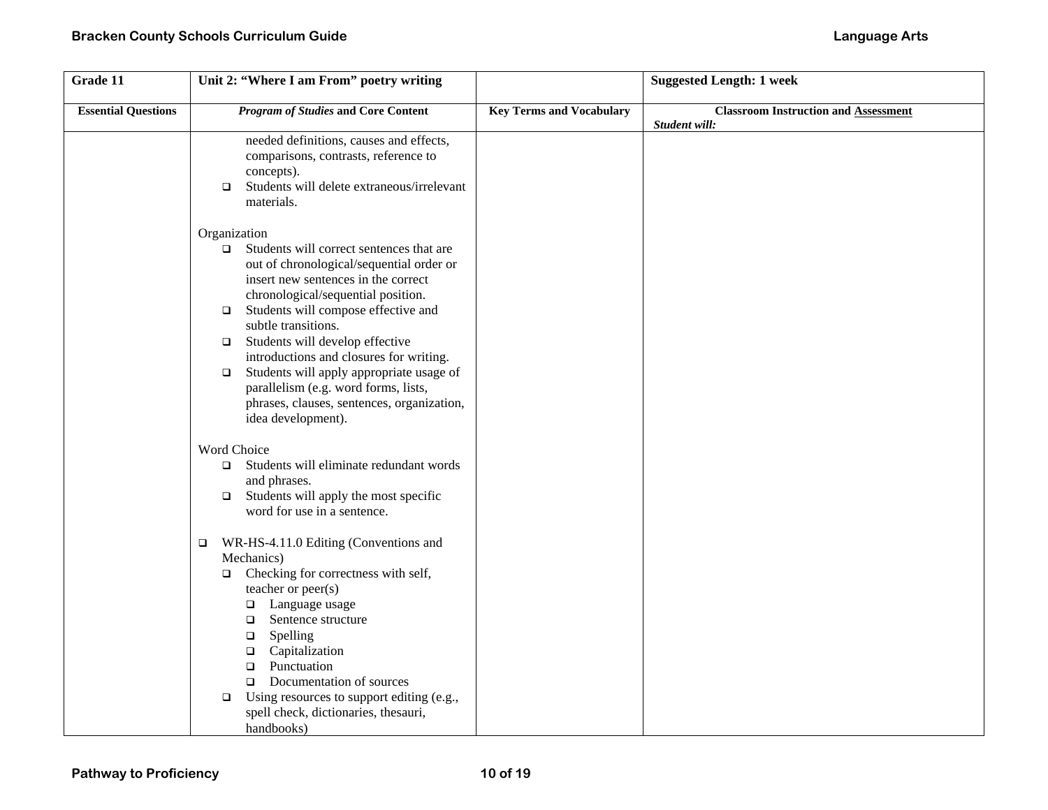| Grade 11                   | Unit 2: "Where I am From" poetry writing                                                                                                                                                                                                                                                                                                                                                                                                                                                                                      |                                 | <b>Suggested Length: 1 week</b>                              |
|----------------------------|-------------------------------------------------------------------------------------------------------------------------------------------------------------------------------------------------------------------------------------------------------------------------------------------------------------------------------------------------------------------------------------------------------------------------------------------------------------------------------------------------------------------------------|---------------------------------|--------------------------------------------------------------|
| <b>Essential Questions</b> | <b>Program of Studies and Core Content</b>                                                                                                                                                                                                                                                                                                                                                                                                                                                                                    | <b>Key Terms and Vocabulary</b> | <b>Classroom Instruction and Assessment</b><br>Student will: |
|                            | needed definitions, causes and effects,<br>comparisons, contrasts, reference to<br>concepts).<br>Students will delete extraneous/irrelevant<br>$\Box$<br>materials.                                                                                                                                                                                                                                                                                                                                                           |                                 |                                                              |
|                            | Organization<br>Students will correct sentences that are<br>$\Box$<br>out of chronological/sequential order or<br>insert new sentences in the correct<br>chronological/sequential position.<br>Students will compose effective and<br>$\Box$<br>subtle transitions.<br>Students will develop effective<br>$\Box$<br>introductions and closures for writing.<br>Students will apply appropriate usage of<br>$\Box$<br>parallelism (e.g. word forms, lists,<br>phrases, clauses, sentences, organization,<br>idea development). |                                 |                                                              |
|                            | Word Choice<br>Students will eliminate redundant words<br>$\Box$<br>and phrases.<br>Students will apply the most specific<br>$\Box$<br>word for use in a sentence.                                                                                                                                                                                                                                                                                                                                                            |                                 |                                                              |
|                            | WR-HS-4.11.0 Editing (Conventions and<br>$\Box$<br>Mechanics)<br>Checking for correctness with self,<br>$\Box$<br>teacher or peer(s)<br>Language usage<br>$\Box$<br>Sentence structure<br>$\Box$<br>Spelling<br>$\Box$<br>Capitalization<br>$\Box$<br>Punctuation<br>$\Box$<br>Documentation of sources<br>$\Box$<br>Using resources to support editing (e.g.,<br>$\Box$<br>spell check, dictionaries, thesauri,<br>handbooks)                                                                                                |                                 |                                                              |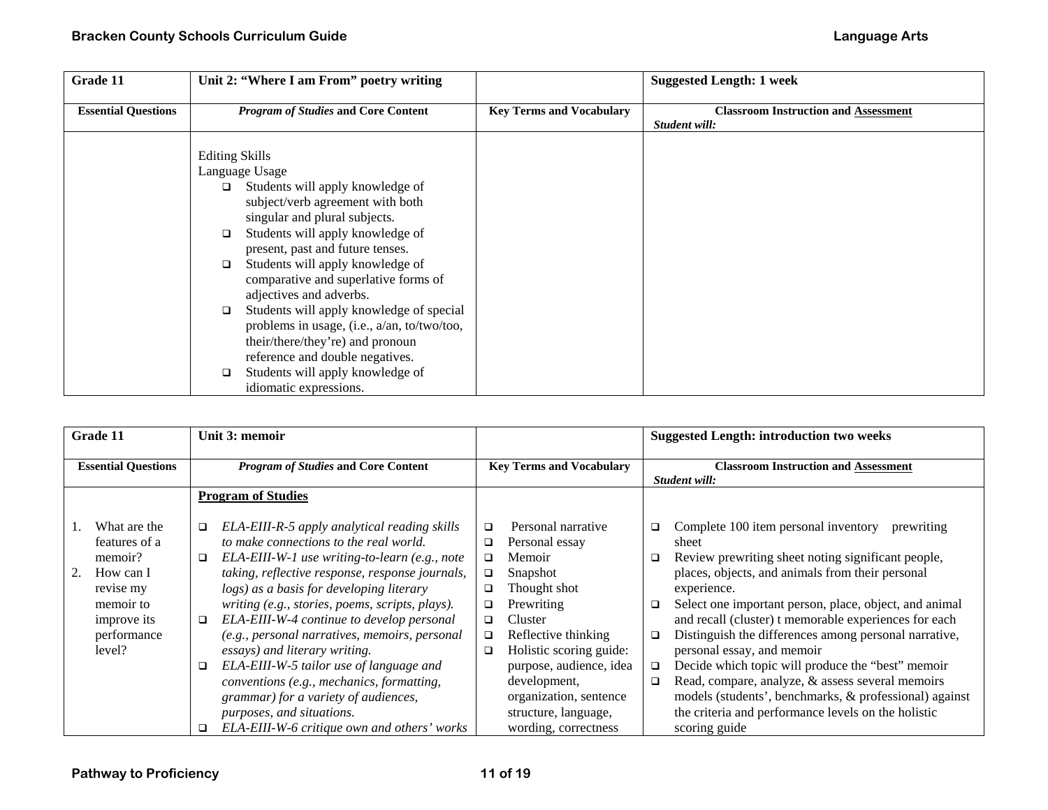| Grade 11                   | Unit 2: "Where I am From" poetry writing                                                                                                                                                                                                                                                                                                                                                                                                                                                                                                                                                           |                                 | <b>Suggested Length: 1 week</b>                              |
|----------------------------|----------------------------------------------------------------------------------------------------------------------------------------------------------------------------------------------------------------------------------------------------------------------------------------------------------------------------------------------------------------------------------------------------------------------------------------------------------------------------------------------------------------------------------------------------------------------------------------------------|---------------------------------|--------------------------------------------------------------|
| <b>Essential Questions</b> | <b>Program of Studies and Core Content</b>                                                                                                                                                                                                                                                                                                                                                                                                                                                                                                                                                         | <b>Key Terms and Vocabulary</b> | <b>Classroom Instruction and Assessment</b><br>Student will: |
|                            | <b>Editing Skills</b><br>Language Usage<br>Students will apply knowledge of<br>$\Box$<br>subject/verb agreement with both<br>singular and plural subjects.<br>Students will apply knowledge of<br>□<br>present, past and future tenses.<br>Students will apply knowledge of<br>$\Box$<br>comparative and superlative forms of<br>adjectives and adverbs.<br>Students will apply knowledge of special<br>◻<br>problems in usage, (i.e., a/an, to/two/too,<br>their/there/they're) and pronoun<br>reference and double negatives.<br>Students will apply knowledge of<br>□<br>idiomatic expressions. |                                 |                                                              |

| Grade 11                   | Unit 3: memoir                                          |                                   | <b>Suggested Length: introduction two weeks</b>                  |
|----------------------------|---------------------------------------------------------|-----------------------------------|------------------------------------------------------------------|
|                            |                                                         |                                   |                                                                  |
| <b>Essential Questions</b> | <b>Program of Studies and Core Content</b>              | <b>Key Terms and Vocabulary</b>   | <b>Classroom Instruction and Assessment</b>                      |
|                            |                                                         |                                   | Student will:                                                    |
|                            | <b>Program of Studies</b>                               |                                   |                                                                  |
| What are the               | ELA-EIII-R-5 apply analytical reading skills<br>$\Box$  | Personal narrative<br>□           | Complete 100 item personal inventory<br>prewriting<br>❏          |
| features of a              | to make connections to the real world.                  | Personal essay<br>$\Box$          | sheet                                                            |
| memoir?                    | ELA-EIII-W-1 use writing-to-learn (e.g., note<br>$\Box$ | Memoir<br>$\Box$                  | Review prewriting sheet noting significant people,<br>□          |
| 2.<br>How can I            | taking, reflective response, response journals,         | Snapshot<br>$\Box$                | places, objects, and animals from their personal                 |
| revise my                  | logs) as a basis for developing literary                | Thought shot<br>$\Box$            | experience.                                                      |
| memoir to                  | writing (e.g., stories, poems, scripts, plays).         | Prewriting<br>❏                   | Select one important person, place, object, and animal<br>$\Box$ |
| improve its                | ELA-EIII-W-4 continue to develop personal<br>$\Box$     | Cluster<br>□                      | and recall (cluster) t memorable experiences for each            |
| performance                | (e.g., personal narratives, memoirs, personal           | Reflective thinking<br>$\Box$     | Distinguish the differences among personal narrative,<br>□       |
| level?                     | essays) and literary writing.                           | Holistic scoring guide:<br>$\Box$ | personal essay, and memoir                                       |
|                            | ELA-EIII-W-5 tailor use of language and<br>$\Box$       | purpose, audience, idea           | Decide which topic will produce the "best" memoir<br>□           |
|                            | conventions (e.g., mechanics, formatting,               | development,                      | Read, compare, analyze, & assess several memoirs<br>□            |
|                            | grammar) for a variety of audiences,                    | organization, sentence            | models (students', benchmarks, & professional) against           |
|                            | purposes, and situations.                               | structure, language,              | the criteria and performance levels on the holistic              |
|                            | ELA-EIII-W-6 critique own and others' works<br>□        | wording, correctness              | scoring guide                                                    |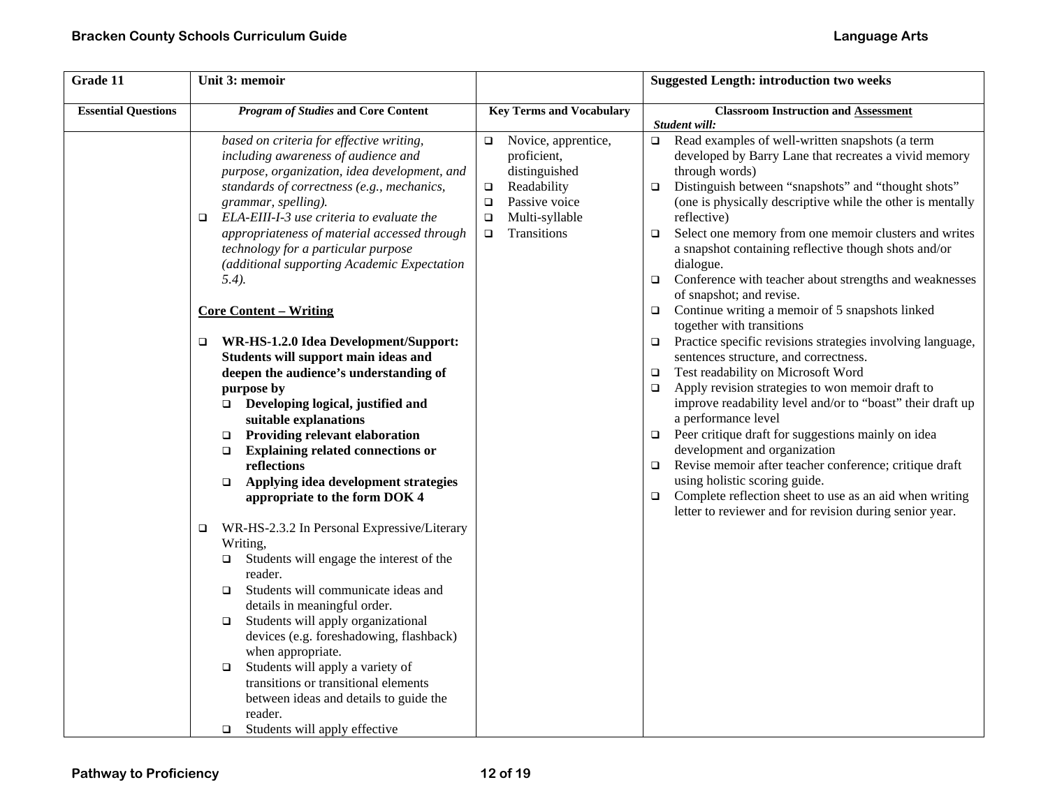| Grade 11                   | Unit 3: memoir                                                                                                                                                                                                                                                                                                                                                                                                                                                                                                                                                                                                                                                                                                                                                                                                                                                                                                                                                                                                                                                                                                                                                                                                                                                          |                                                                                                                                                                        | <b>Suggested Length: introduction two weeks</b>                                                                                                                                                                                                                                                                                                                                                                                                                                                                                                                                                                                                                                                                                                                                                                                                                                                                                                                                                                                                                                                                                                                                                                                                                                             |
|----------------------------|-------------------------------------------------------------------------------------------------------------------------------------------------------------------------------------------------------------------------------------------------------------------------------------------------------------------------------------------------------------------------------------------------------------------------------------------------------------------------------------------------------------------------------------------------------------------------------------------------------------------------------------------------------------------------------------------------------------------------------------------------------------------------------------------------------------------------------------------------------------------------------------------------------------------------------------------------------------------------------------------------------------------------------------------------------------------------------------------------------------------------------------------------------------------------------------------------------------------------------------------------------------------------|------------------------------------------------------------------------------------------------------------------------------------------------------------------------|---------------------------------------------------------------------------------------------------------------------------------------------------------------------------------------------------------------------------------------------------------------------------------------------------------------------------------------------------------------------------------------------------------------------------------------------------------------------------------------------------------------------------------------------------------------------------------------------------------------------------------------------------------------------------------------------------------------------------------------------------------------------------------------------------------------------------------------------------------------------------------------------------------------------------------------------------------------------------------------------------------------------------------------------------------------------------------------------------------------------------------------------------------------------------------------------------------------------------------------------------------------------------------------------|
| <b>Essential Questions</b> | <b>Program of Studies and Core Content</b>                                                                                                                                                                                                                                                                                                                                                                                                                                                                                                                                                                                                                                                                                                                                                                                                                                                                                                                                                                                                                                                                                                                                                                                                                              | <b>Key Terms and Vocabulary</b>                                                                                                                                        | <b>Classroom Instruction and Assessment</b>                                                                                                                                                                                                                                                                                                                                                                                                                                                                                                                                                                                                                                                                                                                                                                                                                                                                                                                                                                                                                                                                                                                                                                                                                                                 |
|                            | based on criteria for effective writing,<br>including awareness of audience and<br>purpose, organization, idea development, and<br>standards of correctness (e.g., mechanics,<br>grammar, spelling).<br>ELA-EIII-I-3 use criteria to evaluate the<br>$\Box$<br>appropriateness of material accessed through<br>technology for a particular purpose<br>(additional supporting Academic Expectation<br>$(5.4)$ .<br><b>Core Content - Writing</b><br>WR-HS-1.2.0 Idea Development/Support:<br>$\Box$<br>Students will support main ideas and<br>deepen the audience's understanding of<br>purpose by<br>$\Box$ Developing logical, justified and<br>suitable explanations<br><b>Providing relevant elaboration</b><br>$\Box$<br><b>Explaining related connections or</b><br>$\Box$<br>reflections<br>Applying idea development strategies<br>$\Box$<br>appropriate to the form DOK 4<br>WR-HS-2.3.2 In Personal Expressive/Literary<br>$\Box$<br>Writing,<br>Students will engage the interest of the<br>$\Box$<br>reader.<br>Students will communicate ideas and<br>$\Box$<br>details in meaningful order.<br>Students will apply organizational<br>$\Box$<br>devices (e.g. foreshadowing, flashback)<br>when appropriate.<br>Students will apply a variety of<br>$\Box$ | Novice, apprentice,<br>$\Box$<br>proficient,<br>distinguished<br>Readability<br>$\Box$<br>Passive voice<br>$\Box$<br>Multi-syllable<br>$\Box$<br>Transitions<br>$\Box$ | Student will:<br>$\Box$ Read examples of well-written snapshots (a term<br>developed by Barry Lane that recreates a vivid memory<br>through words)<br>Distinguish between "snapshots" and "thought shots"<br>$\Box$<br>(one is physically descriptive while the other is mentally<br>reflective)<br>Select one memory from one memoir clusters and writes<br>$\Box$<br>a snapshot containing reflective though shots and/or<br>dialogue.<br>Conference with teacher about strengths and weaknesses<br>$\Box$<br>of snapshot; and revise.<br>Continue writing a memoir of 5 snapshots linked<br>$\Box$<br>together with transitions<br>Practice specific revisions strategies involving language,<br>$\Box$<br>sentences structure, and correctness.<br>Test readability on Microsoft Word<br>$\Box$<br>Apply revision strategies to won memoir draft to<br>$\Box$<br>improve readability level and/or to "boast" their draft up<br>a performance level<br>Peer critique draft for suggestions mainly on idea<br>$\Box$<br>development and organization<br>Revise memoir after teacher conference; critique draft<br>$\Box$<br>using holistic scoring guide.<br>Complete reflection sheet to use as an aid when writing<br>$\Box$<br>letter to reviewer and for revision during senior year. |
|                            | transitions or transitional elements<br>between ideas and details to guide the<br>reader.                                                                                                                                                                                                                                                                                                                                                                                                                                                                                                                                                                                                                                                                                                                                                                                                                                                                                                                                                                                                                                                                                                                                                                               |                                                                                                                                                                        |                                                                                                                                                                                                                                                                                                                                                                                                                                                                                                                                                                                                                                                                                                                                                                                                                                                                                                                                                                                                                                                                                                                                                                                                                                                                                             |
|                            | Students will apply effective<br>$\Box$                                                                                                                                                                                                                                                                                                                                                                                                                                                                                                                                                                                                                                                                                                                                                                                                                                                                                                                                                                                                                                                                                                                                                                                                                                 |                                                                                                                                                                        |                                                                                                                                                                                                                                                                                                                                                                                                                                                                                                                                                                                                                                                                                                                                                                                                                                                                                                                                                                                                                                                                                                                                                                                                                                                                                             |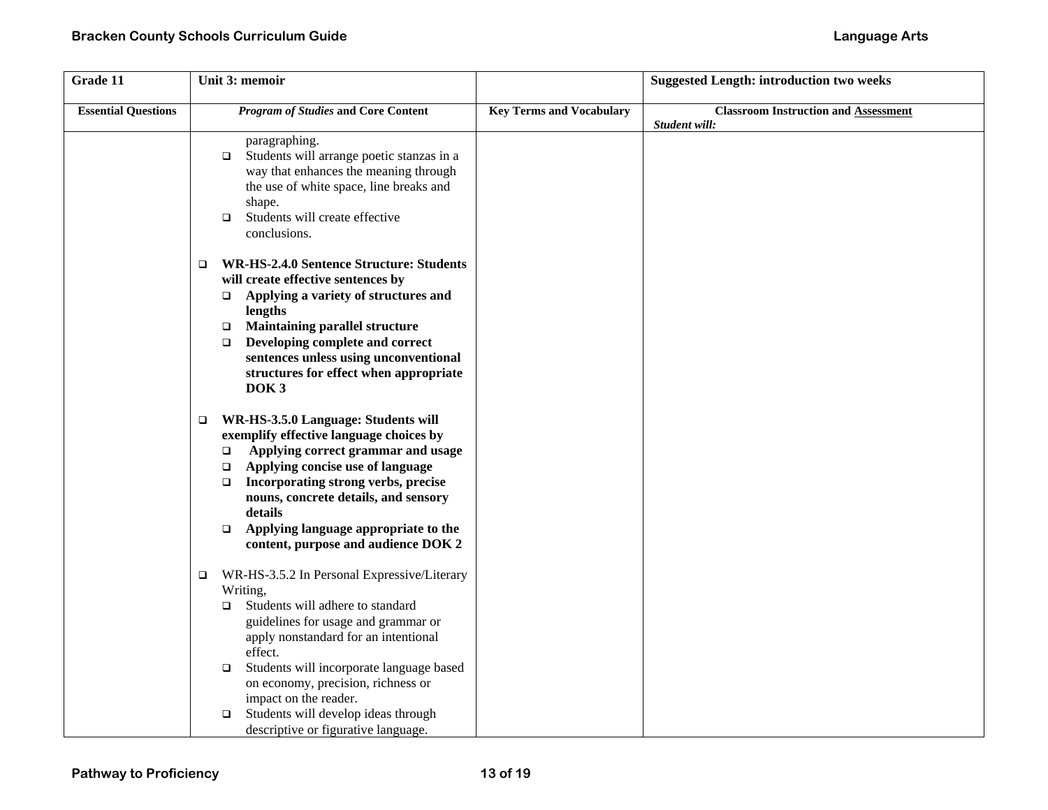| Grade 11                   | Unit 3: memoir                                                                                                                                                                                                                                                                                                                                                                                                         |                                 | <b>Suggested Length: introduction two weeks</b>              |
|----------------------------|------------------------------------------------------------------------------------------------------------------------------------------------------------------------------------------------------------------------------------------------------------------------------------------------------------------------------------------------------------------------------------------------------------------------|---------------------------------|--------------------------------------------------------------|
| <b>Essential Questions</b> | <b>Program of Studies and Core Content</b>                                                                                                                                                                                                                                                                                                                                                                             | <b>Key Terms and Vocabulary</b> | <b>Classroom Instruction and Assessment</b><br>Student will: |
|                            | paragraphing.<br>Students will arrange poetic stanzas in a<br>$\Box$<br>way that enhances the meaning through<br>the use of white space, line breaks and<br>shape.<br>Students will create effective<br>$\Box$<br>conclusions.                                                                                                                                                                                         |                                 |                                                              |
|                            | <b>WR-HS-2.4.0 Sentence Structure: Students</b><br>$\Box$<br>will create effective sentences by<br>Applying a variety of structures and<br>$\Box$<br>lengths<br><b>Maintaining parallel structure</b><br>$\Box$<br>Developing complete and correct<br>$\Box$<br>sentences unless using unconventional<br>structures for effect when appropriate<br>DOK <sub>3</sub>                                                    |                                 |                                                              |
|                            | WR-HS-3.5.0 Language: Students will<br>$\Box$<br>exemplify effective language choices by<br>Applying correct grammar and usage<br>$\Box$<br>Applying concise use of language<br>□<br>Incorporating strong verbs, precise<br>$\Box$<br>nouns, concrete details, and sensory<br>details<br>Applying language appropriate to the<br>$\Box$<br>content, purpose and audience DOK 2                                         |                                 |                                                              |
|                            | WR-HS-3.5.2 In Personal Expressive/Literary<br>$\Box$<br>Writing,<br>Students will adhere to standard<br>$\Box$<br>guidelines for usage and grammar or<br>apply nonstandard for an intentional<br>effect.<br>Students will incorporate language based<br>$\Box$<br>on economy, precision, richness or<br>impact on the reader.<br>Students will develop ideas through<br>$\Box$<br>descriptive or figurative language. |                                 |                                                              |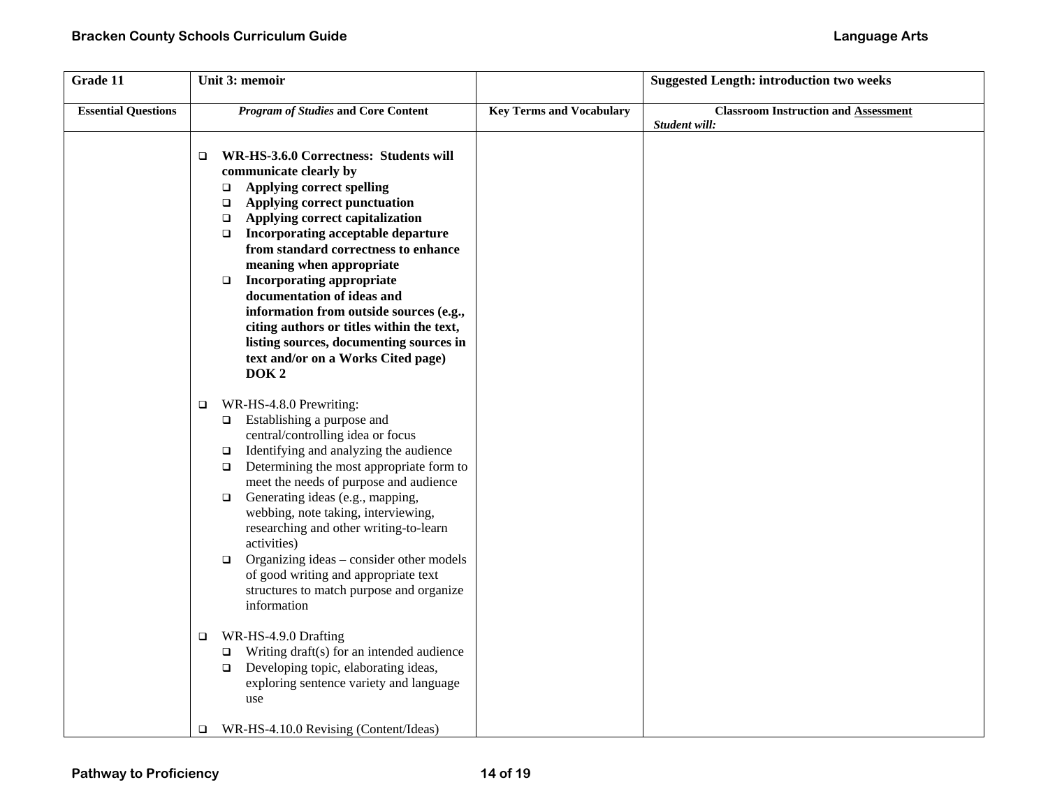| Grade 11                   | Unit 3: memoir                                                                                                                                                                                                                                                                                                                                                                                                                                                                                                                                                                                                                                                                                                       |                                 | <b>Suggested Length: introduction two weeks</b>              |
|----------------------------|----------------------------------------------------------------------------------------------------------------------------------------------------------------------------------------------------------------------------------------------------------------------------------------------------------------------------------------------------------------------------------------------------------------------------------------------------------------------------------------------------------------------------------------------------------------------------------------------------------------------------------------------------------------------------------------------------------------------|---------------------------------|--------------------------------------------------------------|
| <b>Essential Questions</b> | <b>Program of Studies and Core Content</b>                                                                                                                                                                                                                                                                                                                                                                                                                                                                                                                                                                                                                                                                           | <b>Key Terms and Vocabulary</b> | <b>Classroom Instruction and Assessment</b><br>Student will: |
|                            | WR-HS-3.6.0 Correctness: Students will<br>$\Box$<br>communicate clearly by<br><b>Applying correct spelling</b><br>$\Box$<br>Applying correct punctuation<br>$\Box$<br>Applying correct capitalization<br>$\Box$<br>Incorporating acceptable departure<br>$\Box$<br>from standard correctness to enhance<br>meaning when appropriate<br><b>Incorporating appropriate</b><br>$\Box$<br>documentation of ideas and<br>information from outside sources (e.g.,<br>citing authors or titles within the text,<br>listing sources, documenting sources in<br>text and/or on a Works Cited page)<br>DOK <sub>2</sub>                                                                                                         |                                 |                                                              |
|                            | WR-HS-4.8.0 Prewriting:<br>$\Box$<br>Establishing a purpose and<br>$\Box$<br>central/controlling idea or focus<br>Identifying and analyzing the audience<br>$\Box$<br>Determining the most appropriate form to<br>$\Box$<br>meet the needs of purpose and audience<br>Generating ideas (e.g., mapping,<br>$\Box$<br>webbing, note taking, interviewing,<br>researching and other writing-to-learn<br>activities)<br>Organizing ideas - consider other models<br>$\Box$<br>of good writing and appropriate text<br>structures to match purpose and organize<br>information<br>WR-HS-4.9.0 Drafting<br>$\Box$<br>Writing draft(s) for an intended audience<br>$\Box$<br>Developing topic, elaborating ideas,<br>$\Box$ |                                 |                                                              |
|                            | exploring sentence variety and language<br>use<br>WR-HS-4.10.0 Revising (Content/Ideas)<br>$\Box$                                                                                                                                                                                                                                                                                                                                                                                                                                                                                                                                                                                                                    |                                 |                                                              |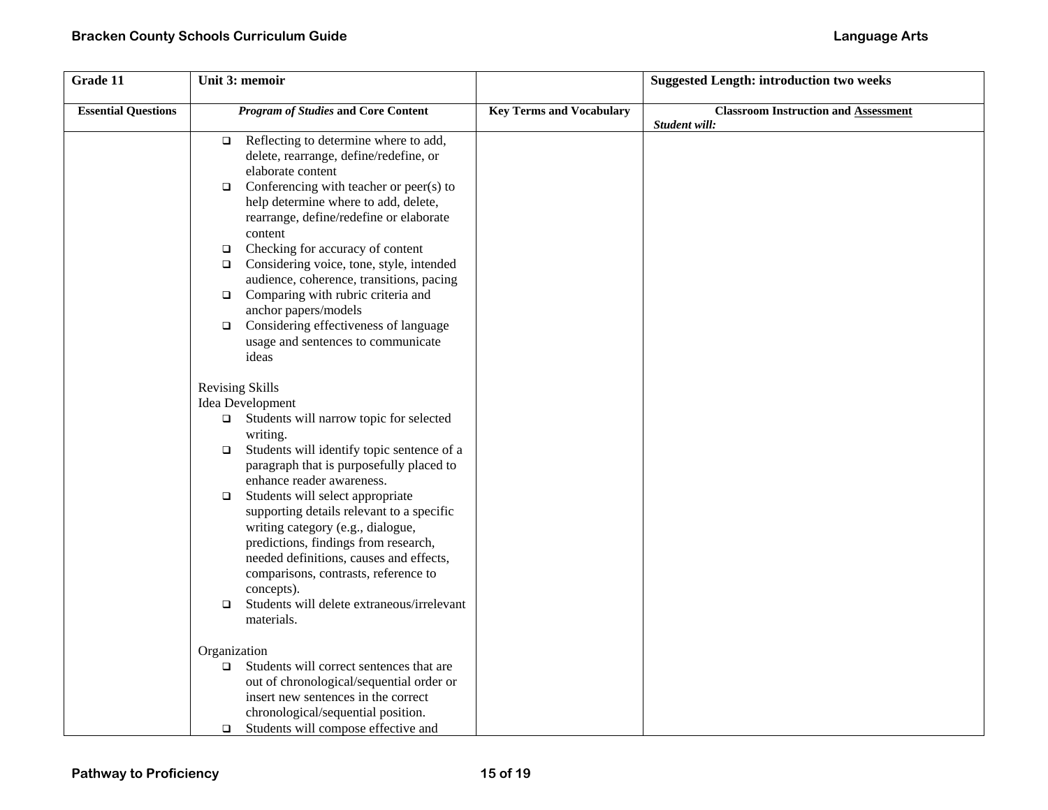| Grade 11                   | Unit 3: memoir                                                                                                                                                                                                                                                                                                                                                                                                                                                                                                                                                                                                                                                                                                                                                                                                                              |                                 | <b>Suggested Length: introduction two weeks</b>              |
|----------------------------|---------------------------------------------------------------------------------------------------------------------------------------------------------------------------------------------------------------------------------------------------------------------------------------------------------------------------------------------------------------------------------------------------------------------------------------------------------------------------------------------------------------------------------------------------------------------------------------------------------------------------------------------------------------------------------------------------------------------------------------------------------------------------------------------------------------------------------------------|---------------------------------|--------------------------------------------------------------|
| <b>Essential Questions</b> | <b>Program of Studies and Core Content</b>                                                                                                                                                                                                                                                                                                                                                                                                                                                                                                                                                                                                                                                                                                                                                                                                  | <b>Key Terms and Vocabulary</b> | <b>Classroom Instruction and Assessment</b><br>Student will: |
|                            | Reflecting to determine where to add,<br>$\Box$<br>delete, rearrange, define/redefine, or<br>elaborate content<br>Conferencing with teacher or peer(s) to<br>$\Box$<br>help determine where to add, delete,<br>rearrange, define/redefine or elaborate<br>content<br>Checking for accuracy of content<br>$\Box$<br>Considering voice, tone, style, intended<br>$\Box$<br>audience, coherence, transitions, pacing<br>Comparing with rubric criteria and<br>$\Box$<br>anchor papers/models<br>Considering effectiveness of language<br>$\Box$<br>usage and sentences to communicate<br>ideas                                                                                                                                                                                                                                                 |                                 |                                                              |
|                            | <b>Revising Skills</b><br>Idea Development<br>Students will narrow topic for selected<br>$\Box$<br>writing.<br>Students will identify topic sentence of a<br>$\Box$<br>paragraph that is purposefully placed to<br>enhance reader awareness.<br>Students will select appropriate<br>$\Box$<br>supporting details relevant to a specific<br>writing category (e.g., dialogue,<br>predictions, findings from research,<br>needed definitions, causes and effects,<br>comparisons, contrasts, reference to<br>concepts).<br>Students will delete extraneous/irrelevant<br>$\Box$<br>materials.<br>Organization<br>Students will correct sentences that are<br>$\Box$<br>out of chronological/sequential order or<br>insert new sentences in the correct<br>chronological/sequential position.<br>Students will compose effective and<br>$\Box$ |                                 |                                                              |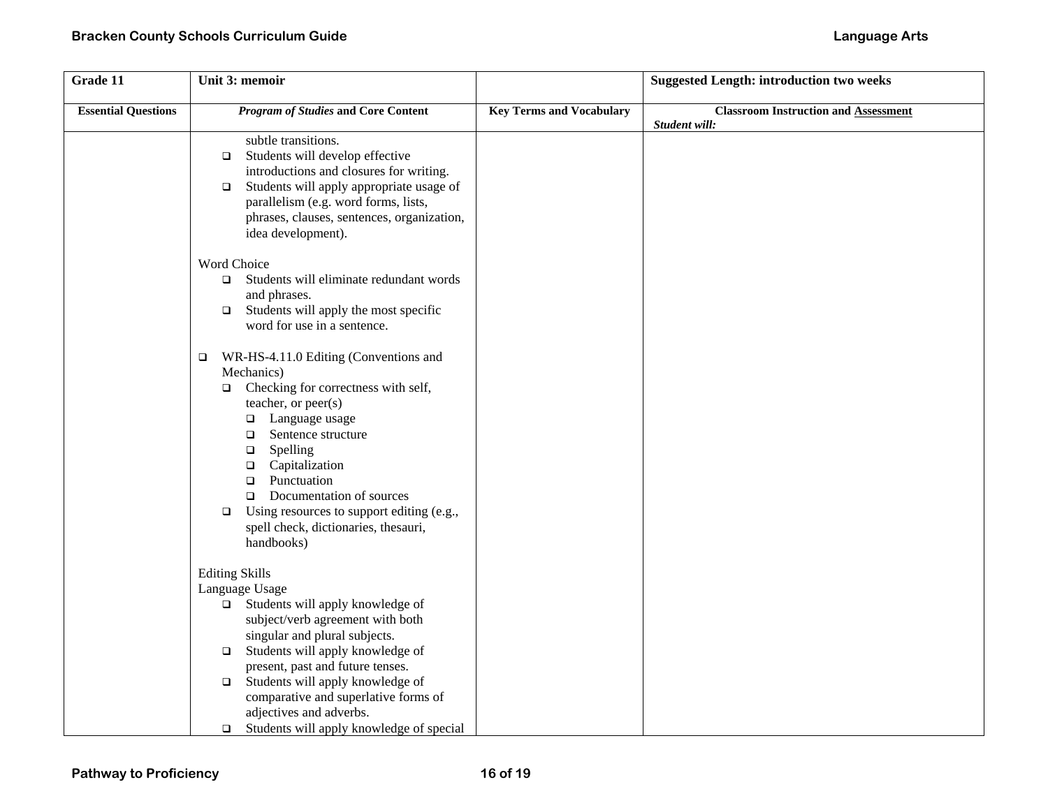| Grade 11                   | Unit 3: memoir                                                                                                                                                                                                                                                                                                                                                                                                                  |                                 | <b>Suggested Length: introduction two weeks</b>              |
|----------------------------|---------------------------------------------------------------------------------------------------------------------------------------------------------------------------------------------------------------------------------------------------------------------------------------------------------------------------------------------------------------------------------------------------------------------------------|---------------------------------|--------------------------------------------------------------|
| <b>Essential Questions</b> | <b>Program of Studies and Core Content</b>                                                                                                                                                                                                                                                                                                                                                                                      | <b>Key Terms and Vocabulary</b> | <b>Classroom Instruction and Assessment</b><br>Student will: |
|                            | subtle transitions.<br>Students will develop effective<br>$\Box$<br>introductions and closures for writing.<br>Students will apply appropriate usage of<br>$\Box$<br>parallelism (e.g. word forms, lists,<br>phrases, clauses, sentences, organization,<br>idea development).                                                                                                                                                   |                                 |                                                              |
|                            | Word Choice                                                                                                                                                                                                                                                                                                                                                                                                                     |                                 |                                                              |
|                            | Students will eliminate redundant words<br>$\Box$<br>and phrases.<br>Students will apply the most specific<br>$\Box$<br>word for use in a sentence.                                                                                                                                                                                                                                                                             |                                 |                                                              |
|                            | WR-HS-4.11.0 Editing (Conventions and<br>$\Box$<br>Mechanics)<br>Checking for correctness with self,<br>$\Box$<br>teacher, or peer(s)<br>Language usage<br>$\Box$<br>Sentence structure<br>$\Box$<br>Spelling<br>$\Box$<br>Capitalization<br>$\Box$<br>Punctuation<br>$\Box$<br>Documentation of sources<br>$\Box$<br>Using resources to support editing (e.g.,<br>$\Box$<br>spell check, dictionaries, thesauri,<br>handbooks) |                                 |                                                              |
|                            | <b>Editing Skills</b><br>Language Usage<br>$\Box$ Students will apply knowledge of<br>subject/verb agreement with both<br>singular and plural subjects.<br>Students will apply knowledge of<br>$\Box$<br>present, past and future tenses.<br>Students will apply knowledge of<br>$\Box$<br>comparative and superlative forms of<br>adjectives and adverbs.<br>Students will apply knowledge of special<br>$\Box$                |                                 |                                                              |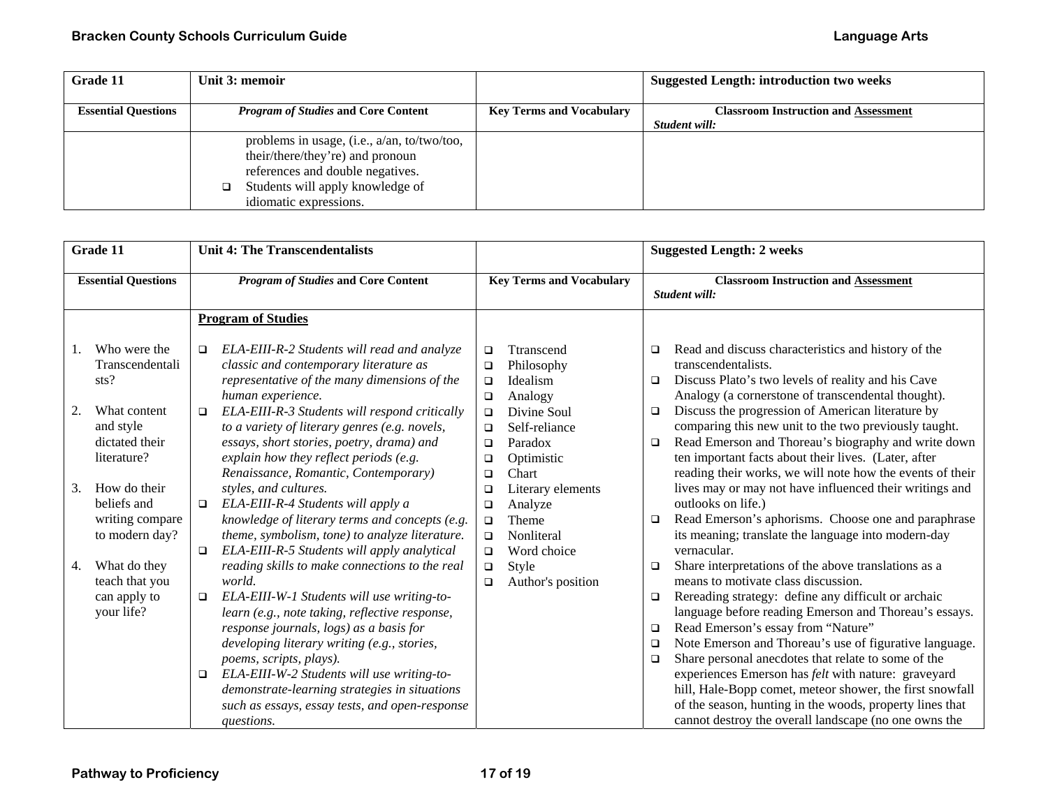| Grade 11                   | Unit 3: memoir                              |                                 | <b>Suggested Length: introduction two weeks</b> |
|----------------------------|---------------------------------------------|---------------------------------|-------------------------------------------------|
|                            |                                             |                                 |                                                 |
| <b>Essential Questions</b> | <i>Program of Studies</i> and Core Content  | <b>Key Terms and Vocabulary</b> | <b>Classroom Instruction and Assessment</b>     |
|                            |                                             |                                 | Student will:                                   |
|                            | problems in usage, (i.e., a/an, to/two/too, |                                 |                                                 |
|                            | their/there/they're) and pronoun            |                                 |                                                 |
|                            | references and double negatives.            |                                 |                                                 |
|                            | Students will apply knowledge of<br>□       |                                 |                                                 |
|                            | idiomatic expressions.                      |                                 |                                                 |

| Grade 11                                                               | <b>Unit 4: The Transcendentalists</b>                                                                                                                                                                                                                                                                                                                                                                                                                            |                                                                                                                      | <b>Suggested Length: 2 weeks</b>                                                                                                                                                                                                                                                                                                                                                                                                                                                                                                                                                                                                                          |
|------------------------------------------------------------------------|------------------------------------------------------------------------------------------------------------------------------------------------------------------------------------------------------------------------------------------------------------------------------------------------------------------------------------------------------------------------------------------------------------------------------------------------------------------|----------------------------------------------------------------------------------------------------------------------|-----------------------------------------------------------------------------------------------------------------------------------------------------------------------------------------------------------------------------------------------------------------------------------------------------------------------------------------------------------------------------------------------------------------------------------------------------------------------------------------------------------------------------------------------------------------------------------------------------------------------------------------------------------|
| <b>Essential Questions</b>                                             | <b>Program of Studies and Core Content</b>                                                                                                                                                                                                                                                                                                                                                                                                                       | <b>Key Terms and Vocabulary</b>                                                                                      | <b>Classroom Instruction and Assessment</b><br>Student will:                                                                                                                                                                                                                                                                                                                                                                                                                                                                                                                                                                                              |
|                                                                        | <b>Program of Studies</b>                                                                                                                                                                                                                                                                                                                                                                                                                                        |                                                                                                                      |                                                                                                                                                                                                                                                                                                                                                                                                                                                                                                                                                                                                                                                           |
| Who were the<br>Transcendentali<br>sts?                                | ELA-EIII-R-2 Students will read and analyze<br>□<br>classic and contemporary literature as<br>representative of the many dimensions of the<br>human experience.                                                                                                                                                                                                                                                                                                  | Ttranscend<br>$\Box$<br>Philosophy<br>$\Box$<br>Idealism<br>$\Box$<br>Analogy<br>$\Box$                              | Read and discuss characteristics and history of the<br>▫<br>transcendentalists.<br>Discuss Plato's two levels of reality and his Cave<br>$\Box$<br>Analogy (a cornerstone of transcendental thought).                                                                                                                                                                                                                                                                                                                                                                                                                                                     |
| 2.<br>What content<br>and style<br>dictated their<br>literature?       | ELA-EIII-R-3 Students will respond critically<br>$\Box$<br>to a variety of literary genres (e.g. novels,<br>essays, short stories, poetry, drama) and<br>explain how they reflect periods (e.g.<br>Renaissance, Romantic, Contemporary)                                                                                                                                                                                                                          | Divine Soul<br>$\Box$<br>Self-reliance<br>$\Box$<br>Paradox<br>$\Box$<br>Optimistic<br>$\Box$<br>Chart<br>$\Box$     | Discuss the progression of American literature by<br>$\Box$<br>comparing this new unit to the two previously taught.<br>Read Emerson and Thoreau's biography and write down<br>$\Box$<br>ten important facts about their lives. (Later, after<br>reading their works, we will note how the events of their                                                                                                                                                                                                                                                                                                                                                |
| How do their<br>3.<br>beliefs and<br>writing compare<br>to modern day? | styles, and cultures.<br>ELA-EIII-R-4 Students will apply a<br>$\Box$<br>knowledge of literary terms and concepts (e.g.<br>theme, symbolism, tone) to analyze literature.<br>ELA-EIII-R-5 Students will apply analytical<br>$\Box$                                                                                                                                                                                                                               | Literary elements<br>$\Box$<br>Analyze<br>$\Box$<br>Theme<br>$\Box$<br>Nonliteral<br>$\Box$<br>Word choice<br>$\Box$ | lives may or may not have influenced their writings and<br>outlooks on life.)<br>Read Emerson's aphorisms. Choose one and paraphrase<br>$\Box$<br>its meaning; translate the language into modern-day<br>vernacular.                                                                                                                                                                                                                                                                                                                                                                                                                                      |
| What do they<br>4.<br>teach that you<br>can apply to<br>your life?     | reading skills to make connections to the real<br>world.<br>ELA-EIII-W-1 Students will use writing-to-<br>$\Box$<br>learn (e.g., note taking, reflective response,<br>response journals, logs) as a basis for<br>developing literary writing (e.g., stories,<br>poems, scripts, plays).<br>ELA-EIII-W-2 Students will use writing-to-<br>$\Box$<br>demonstrate-learning strategies in situations<br>such as essays, essay tests, and open-response<br>questions. | Style<br>$\Box$<br>Author's position<br>$\Box$                                                                       | Share interpretations of the above translations as a<br>□<br>means to motivate class discussion.<br>Rereading strategy: define any difficult or archaic<br>$\Box$<br>language before reading Emerson and Thoreau's essays.<br>Read Emerson's essay from "Nature"<br>$\Box$<br>Note Emerson and Thoreau's use of figurative language.<br>$\Box$<br>Share personal anecdotes that relate to some of the<br>□<br>experiences Emerson has <i>felt</i> with nature: graveyard<br>hill, Hale-Bopp comet, meteor shower, the first snowfall<br>of the season, hunting in the woods, property lines that<br>cannot destroy the overall landscape (no one owns the |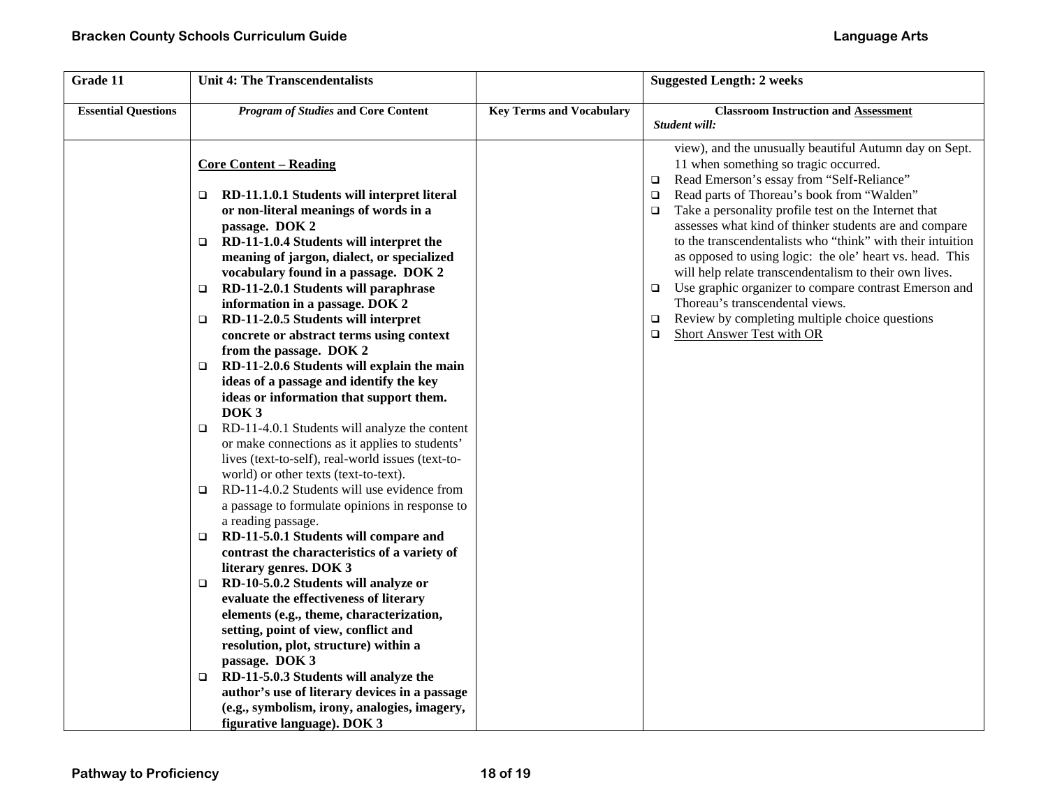| Grade 11                   | <b>Unit 4: The Transcendentalists</b>                                                                                                                                                                                                                                                                                                                                                                                                                                                                                                                                                                                                                                                                                                                                                                                                                                                                                                                                                                                                                                                                                                                                                                                                                                                                                                                                                                                                                                                                                                               |                                 | <b>Suggested Length: 2 weeks</b>                                                                                                                                                                                                                                                                                                                                                                                                                                                                                                                                                                                                                                                                                                               |
|----------------------------|-----------------------------------------------------------------------------------------------------------------------------------------------------------------------------------------------------------------------------------------------------------------------------------------------------------------------------------------------------------------------------------------------------------------------------------------------------------------------------------------------------------------------------------------------------------------------------------------------------------------------------------------------------------------------------------------------------------------------------------------------------------------------------------------------------------------------------------------------------------------------------------------------------------------------------------------------------------------------------------------------------------------------------------------------------------------------------------------------------------------------------------------------------------------------------------------------------------------------------------------------------------------------------------------------------------------------------------------------------------------------------------------------------------------------------------------------------------------------------------------------------------------------------------------------------|---------------------------------|------------------------------------------------------------------------------------------------------------------------------------------------------------------------------------------------------------------------------------------------------------------------------------------------------------------------------------------------------------------------------------------------------------------------------------------------------------------------------------------------------------------------------------------------------------------------------------------------------------------------------------------------------------------------------------------------------------------------------------------------|
| <b>Essential Questions</b> | <b>Program of Studies and Core Content</b>                                                                                                                                                                                                                                                                                                                                                                                                                                                                                                                                                                                                                                                                                                                                                                                                                                                                                                                                                                                                                                                                                                                                                                                                                                                                                                                                                                                                                                                                                                          | <b>Key Terms and Vocabulary</b> | <b>Classroom Instruction and Assessment</b><br>Student will:                                                                                                                                                                                                                                                                                                                                                                                                                                                                                                                                                                                                                                                                                   |
|                            | <b>Core Content – Reading</b><br>RD-11.1.0.1 Students will interpret literal<br>$\Box$<br>or non-literal meanings of words in a<br>passage. DOK 2<br>RD-11-1.0.4 Students will interpret the<br>$\Box$<br>meaning of jargon, dialect, or specialized<br>vocabulary found in a passage. DOK 2<br>RD-11-2.0.1 Students will paraphrase<br>$\Box$<br>information in a passage. DOK 2<br>RD-11-2.0.5 Students will interpret<br>$\Box$<br>concrete or abstract terms using context<br>from the passage. DOK 2<br>RD-11-2.0.6 Students will explain the main<br>$\Box$<br>ideas of a passage and identify the key<br>ideas or information that support them.<br>DOK <sub>3</sub><br>RD-11-4.0.1 Students will analyze the content<br>$\Box$<br>or make connections as it applies to students'<br>lives (text-to-self), real-world issues (text-to-<br>world) or other texts (text-to-text).<br>RD-11-4.0.2 Students will use evidence from<br>$\Box$<br>a passage to formulate opinions in response to<br>a reading passage.<br>RD-11-5.0.1 Students will compare and<br>$\Box$<br>contrast the characteristics of a variety of<br>literary genres. DOK 3<br>RD-10-5.0.2 Students will analyze or<br>$\Box$<br>evaluate the effectiveness of literary<br>elements (e.g., theme, characterization,<br>setting, point of view, conflict and<br>resolution, plot, structure) within a<br>passage. DOK 3<br>RD-11-5.0.3 Students will analyze the<br>$\Box$<br>author's use of literary devices in a passage<br>(e.g., symbolism, irony, analogies, imagery, |                                 | view), and the unusually beautiful Autumn day on Sept.<br>11 when something so tragic occurred.<br>Read Emerson's essay from "Self-Reliance"<br>$\Box$<br>Read parts of Thoreau's book from "Walden"<br>$\Box$<br>Take a personality profile test on the Internet that<br>$\Box$<br>assesses what kind of thinker students are and compare<br>to the transcendentalists who "think" with their intuition<br>as opposed to using logic: the ole' heart vs. head. This<br>will help relate transcendentalism to their own lives.<br>Use graphic organizer to compare contrast Emerson and<br>$\Box$<br>Thoreau's transcendental views.<br>Review by completing multiple choice questions<br>$\Box$<br><b>Short Answer Test with OR</b><br>$\Box$ |
|                            | figurative language). DOK 3                                                                                                                                                                                                                                                                                                                                                                                                                                                                                                                                                                                                                                                                                                                                                                                                                                                                                                                                                                                                                                                                                                                                                                                                                                                                                                                                                                                                                                                                                                                         |                                 |                                                                                                                                                                                                                                                                                                                                                                                                                                                                                                                                                                                                                                                                                                                                                |